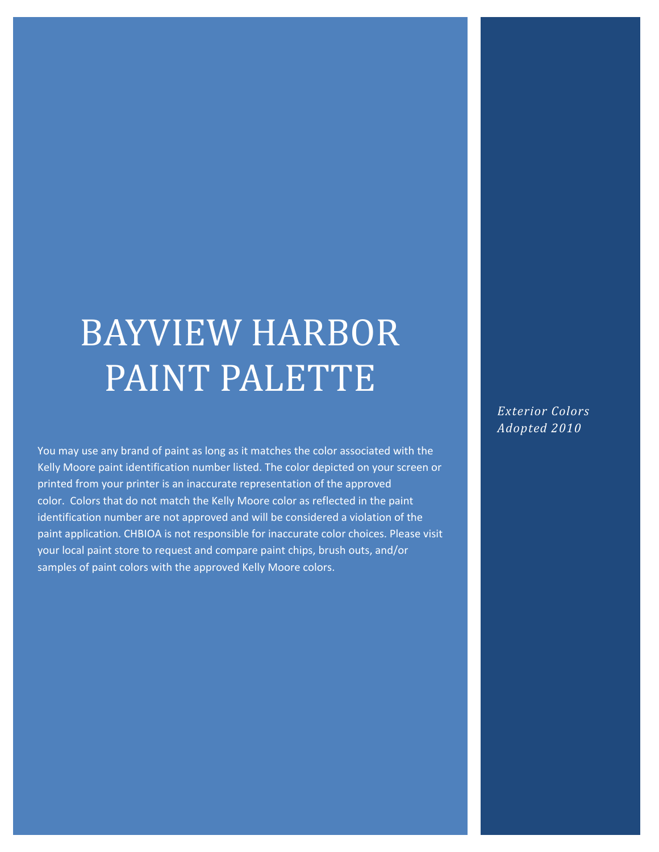## BAYVIEW HARBOR PAINT PALETTE

You may use any brand of paint as long as it matches the color associated with the Kelly Moore paint identification number listed. The color depicted on your screen or printed from your printer is an inaccurate representation of the approved color. Colors that do not match the Kelly Moore color as reflected in the paint identification number are not approved and will be considered a violation of the paint application. CHBIOA is not responsible for inaccurate color choices. Please visit your local paint store to request and compare paint chips, brush outs, and/or samples of paint colors with the approved Kelly Moore colors.

*Exterior Colors Adopted 2010*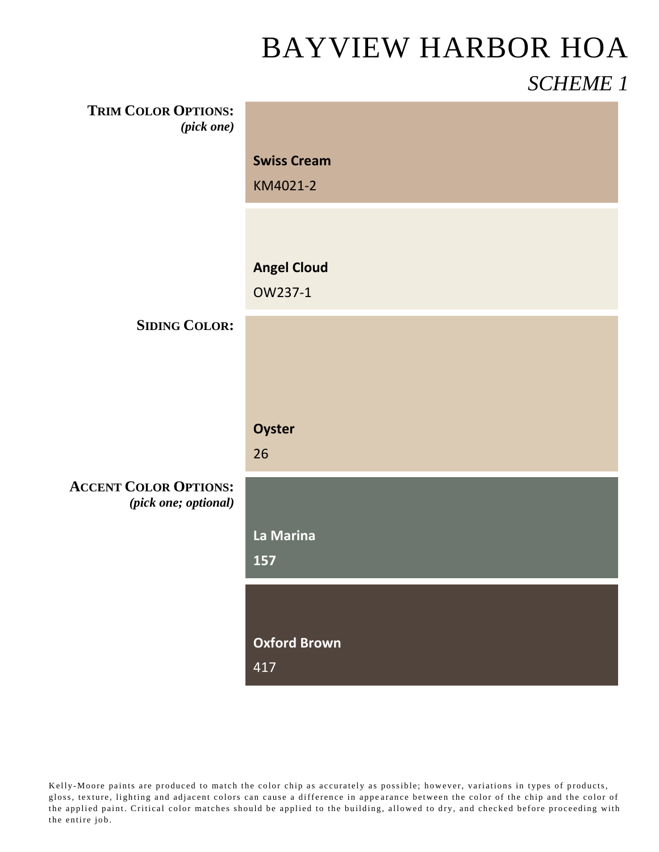# BAYVIEW HARBOR HOA

#### *SCHEME 1*

| <b>TRIM COLOR OPTIONS:</b><br>(pick one) |                     |
|------------------------------------------|---------------------|
|                                          | <b>Swiss Cream</b>  |
|                                          | KM4021-2            |
|                                          |                     |
|                                          | <b>Angel Cloud</b>  |
|                                          | OW237-1             |
| <b>SIDING COLOR:</b>                     |                     |
|                                          |                     |
|                                          |                     |
|                                          | Oyster              |
|                                          | 26                  |
| <b>ACCENT COLOR OPTIONS:</b>             |                     |
| (pick one; optional)                     |                     |
|                                          | La Marina           |
|                                          | 157                 |
|                                          |                     |
|                                          | <b>Oxford Brown</b> |
|                                          | 417                 |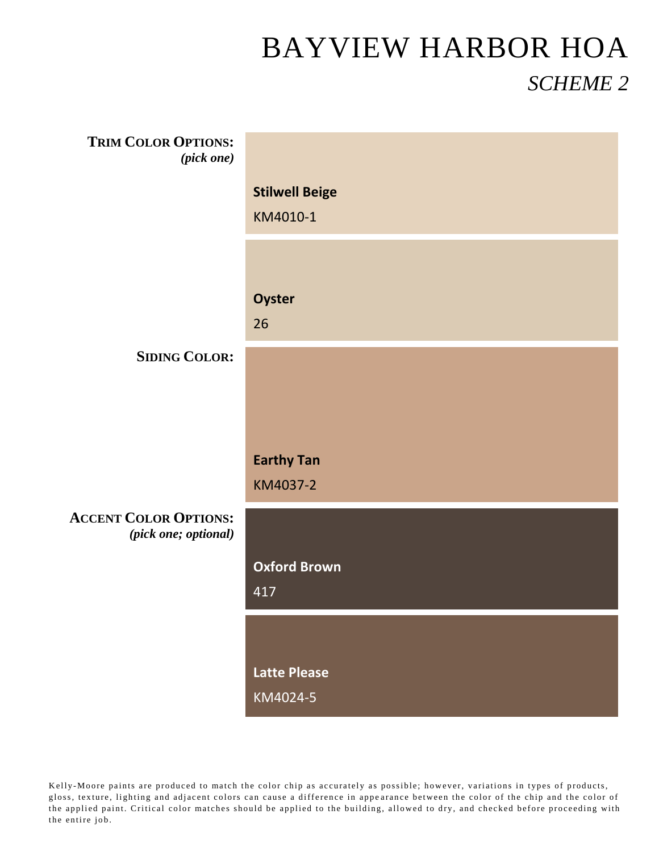| <b>TRIM COLOR OPTIONS:</b><br>$(pick\ one)$ |                          |
|---------------------------------------------|--------------------------|
|                                             | <b>Stilwell Beige</b>    |
|                                             | KM4010-1                 |
|                                             |                          |
|                                             |                          |
|                                             | Oyster                   |
|                                             | 26                       |
| <b>SIDING COLOR:</b>                        |                          |
|                                             |                          |
|                                             |                          |
|                                             | <b>Earthy Tan</b>        |
|                                             | KM4037-2                 |
| <b>ACCENT COLOR OPTIONS:</b>                |                          |
| (pick one; optional)                        |                          |
|                                             | <b>Oxford Brown</b>      |
|                                             | 417                      |
|                                             |                          |
|                                             |                          |
|                                             | Latte Please<br>KM4024-5 |
|                                             |                          |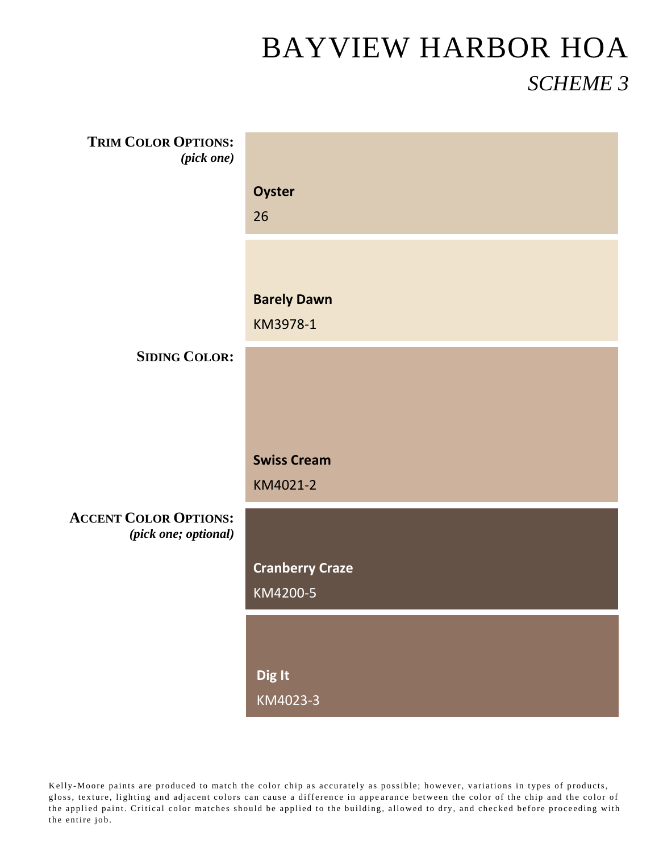| <b>TRIM COLOR OPTIONS:</b><br>(pick one) |                        |
|------------------------------------------|------------------------|
|                                          | Oyster                 |
|                                          | 26                     |
|                                          |                        |
|                                          |                        |
|                                          | <b>Barely Dawn</b>     |
|                                          | KM3978-1               |
| <b>SIDING COLOR:</b>                     |                        |
|                                          |                        |
|                                          |                        |
|                                          | <b>Swiss Cream</b>     |
|                                          | KM4021-2               |
| <b>ACCENT COLOR OPTIONS:</b>             |                        |
| (pick one; optional)                     |                        |
|                                          | <b>Cranberry Craze</b> |
|                                          | KM4200-5               |
|                                          |                        |
|                                          |                        |
|                                          | Dig It                 |
|                                          | KM4023-3               |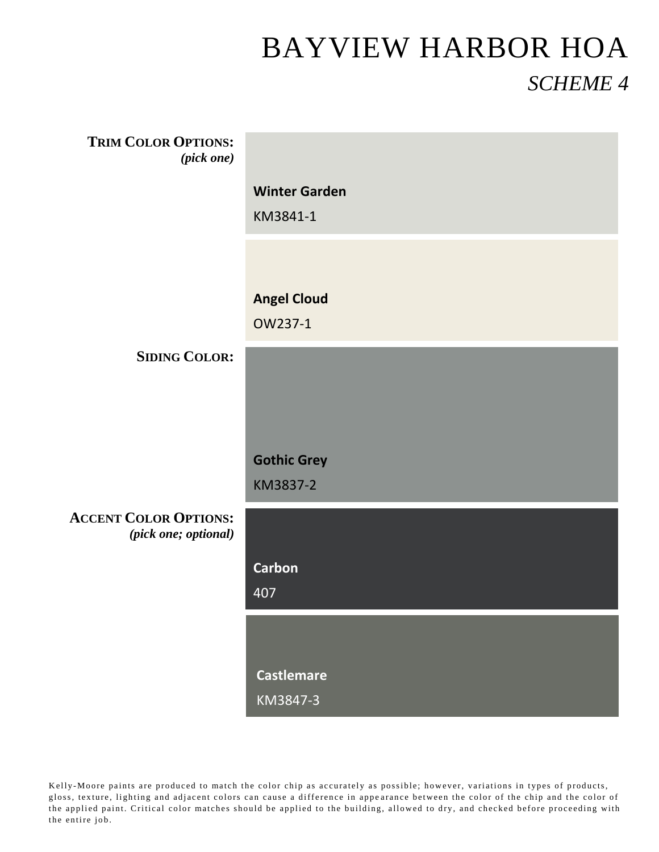| <b>TRIM COLOR OPTIONS:</b><br>(pick one) |                      |
|------------------------------------------|----------------------|
|                                          | <b>Winter Garden</b> |
|                                          | KM3841-1             |
|                                          |                      |
|                                          |                      |
|                                          | <b>Angel Cloud</b>   |
|                                          | OW237-1              |
| <b>SIDING COLOR:</b>                     |                      |
|                                          |                      |
|                                          |                      |
|                                          |                      |
|                                          | <b>Gothic Grey</b>   |
|                                          | KM3837-2             |
| <b>ACCENT COLOR OPTIONS:</b>             |                      |
| (pick one; optional)                     |                      |
|                                          | <b>Carbon</b>        |
|                                          | 407                  |
|                                          |                      |
|                                          |                      |
|                                          | <b>Castlemare</b>    |
|                                          | KM3847-3             |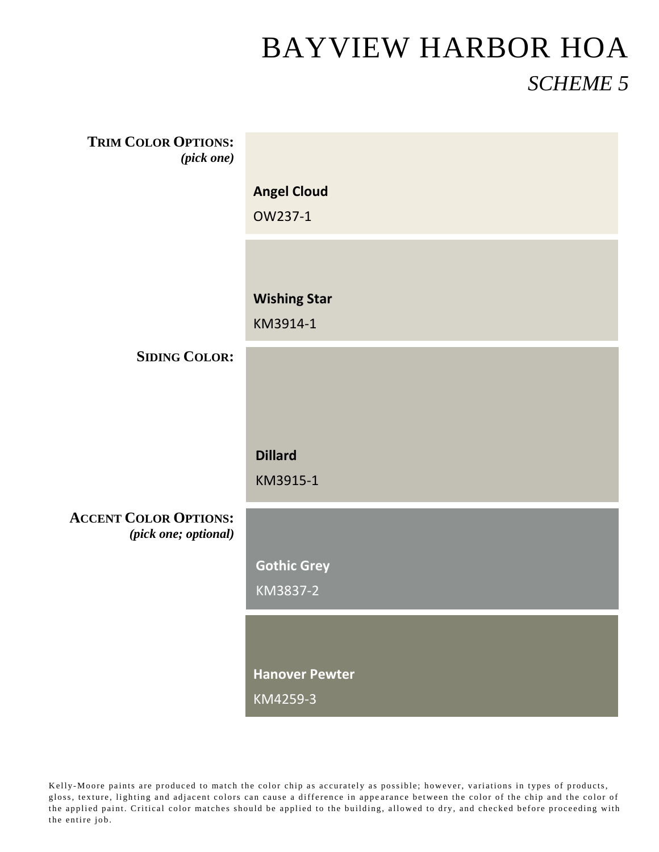| <b>TRIM COLOR OPTIONS:</b>                           |                       |
|------------------------------------------------------|-----------------------|
| $(pick \ one)$                                       |                       |
|                                                      | <b>Angel Cloud</b>    |
|                                                      |                       |
|                                                      | OW237-1               |
|                                                      |                       |
|                                                      |                       |
|                                                      |                       |
|                                                      | <b>Wishing Star</b>   |
|                                                      | KM3914-1              |
| <b>SIDING COLOR:</b>                                 |                       |
|                                                      |                       |
|                                                      |                       |
|                                                      |                       |
|                                                      |                       |
|                                                      |                       |
|                                                      |                       |
|                                                      | <b>Dillard</b>        |
|                                                      | KM3915-1              |
|                                                      |                       |
| <b>ACCENT COLOR OPTIONS:</b><br>(pick one; optional) |                       |
|                                                      |                       |
|                                                      | <b>Gothic Grey</b>    |
|                                                      | KM3837-2              |
|                                                      |                       |
|                                                      |                       |
|                                                      |                       |
|                                                      | <b>Hanover Pewter</b> |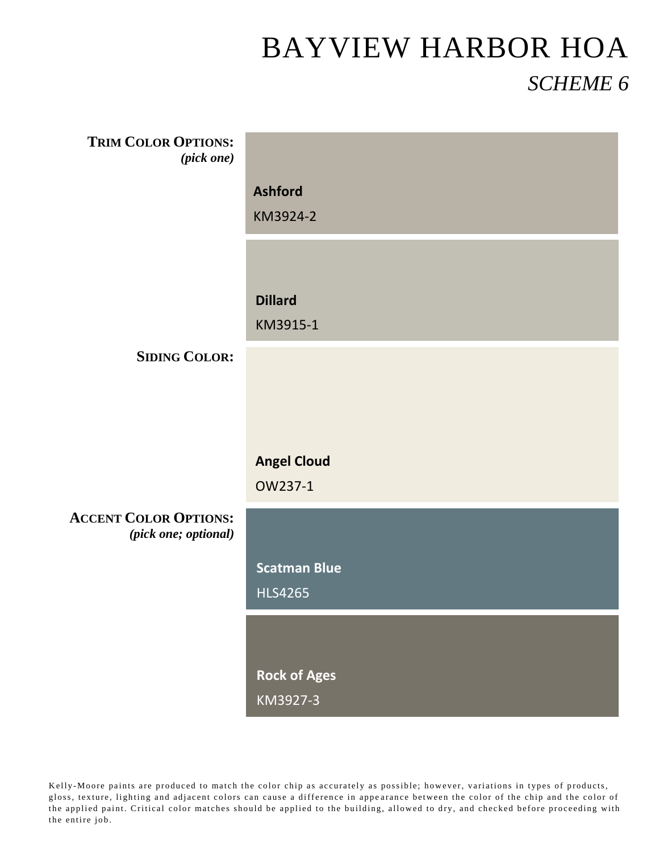| <b>TRIM COLOR OPTIONS:</b><br>(pick one) |                     |
|------------------------------------------|---------------------|
|                                          | <b>Ashford</b>      |
|                                          | KM3924-2            |
|                                          |                     |
|                                          | <b>Dillard</b>      |
|                                          | KM3915-1            |
| <b>SIDING COLOR:</b>                     |                     |
|                                          |                     |
|                                          |                     |
|                                          | <b>Angel Cloud</b>  |
|                                          | OW237-1             |
| <b>ACCENT COLOR OPTIONS:</b>             |                     |
| (pick one; optional)                     |                     |
|                                          | <b>Scatman Blue</b> |
|                                          | <b>HLS4265</b>      |
|                                          |                     |
|                                          |                     |
|                                          | <b>Rock of Ages</b> |
|                                          | KM3927-3            |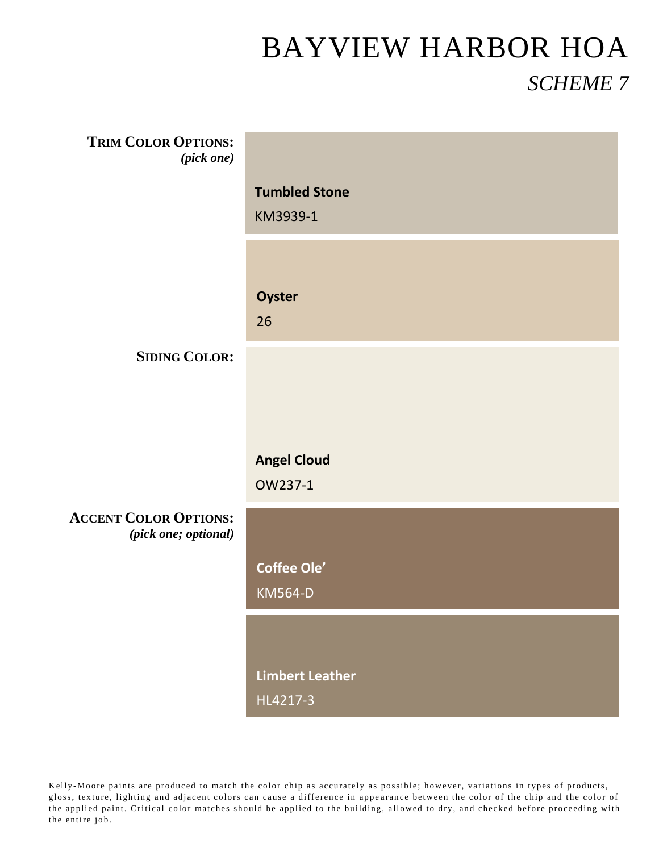| <b>TRIM COLOR OPTIONS:</b><br>(pick one) |                                    |
|------------------------------------------|------------------------------------|
|                                          |                                    |
|                                          | <b>Tumbled Stone</b>               |
|                                          | KM3939-1                           |
|                                          |                                    |
|                                          |                                    |
|                                          |                                    |
|                                          | <b>Oyster</b>                      |
|                                          | 26                                 |
|                                          |                                    |
| <b>SIDING COLOR:</b>                     |                                    |
|                                          |                                    |
|                                          |                                    |
|                                          |                                    |
|                                          | <b>Angel Cloud</b>                 |
|                                          |                                    |
|                                          | OW237-1                            |
| <b>ACCENT COLOR OPTIONS:</b>             |                                    |
| (pick one; optional)                     |                                    |
|                                          |                                    |
|                                          | <b>Coffee Ole'</b>                 |
|                                          | <b>KM564-D</b>                     |
|                                          |                                    |
|                                          |                                    |
|                                          |                                    |
|                                          |                                    |
|                                          | <b>Limbert Leather</b><br>HL4217-3 |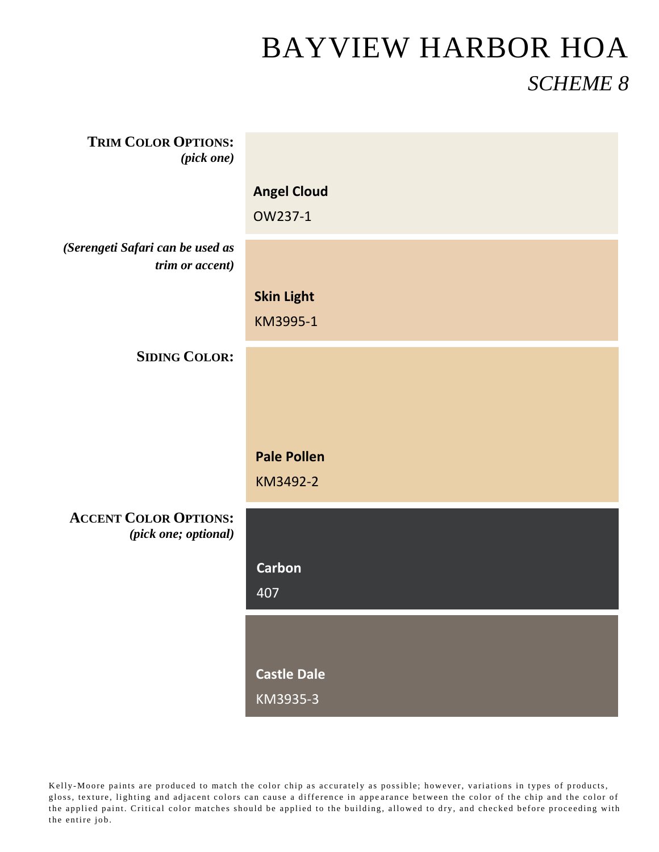| <b>TRIM COLOR OPTIONS:</b><br>(pick one)             |                                |
|------------------------------------------------------|--------------------------------|
|                                                      | <b>Angel Cloud</b><br>OW237-1  |
| (Serengeti Safari can be used as<br>trim or accent)  |                                |
|                                                      | <b>Skin Light</b><br>KM3995-1  |
| <b>SIDING COLOR:</b>                                 |                                |
|                                                      |                                |
|                                                      | <b>Pale Pollen</b><br>KM3492-2 |
| <b>ACCENT COLOR OPTIONS:</b><br>(pick one; optional) |                                |
|                                                      | <b>Carbon</b><br>407           |
|                                                      |                                |
|                                                      | <b>Castle Dale</b><br>KM3935-3 |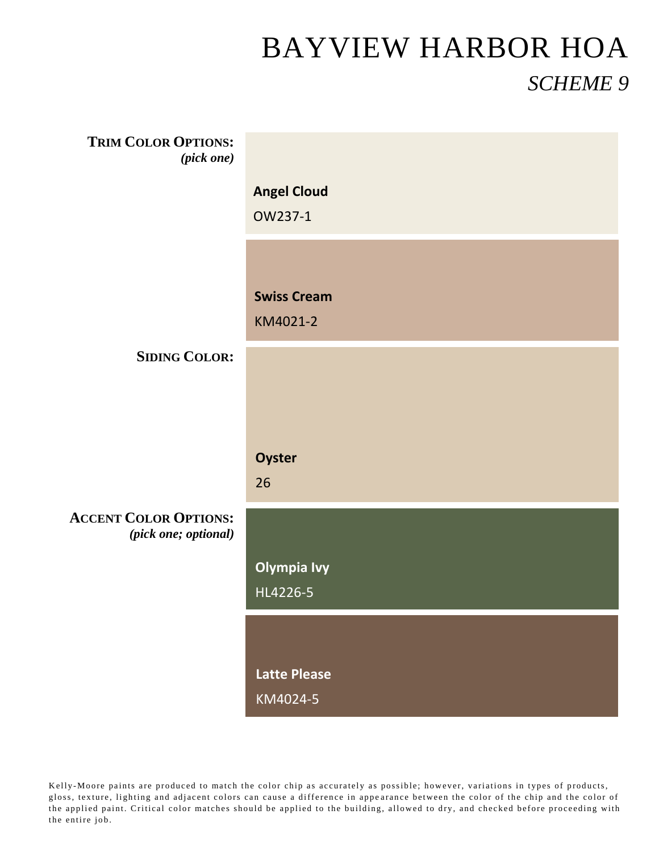| <b>TRIM COLOR OPTIONS:</b><br>(pick one)             |                     |
|------------------------------------------------------|---------------------|
|                                                      | <b>Angel Cloud</b>  |
|                                                      | OW237-1             |
|                                                      |                     |
|                                                      | <b>Swiss Cream</b>  |
|                                                      | KM4021-2            |
| <b>SIDING COLOR:</b>                                 |                     |
|                                                      |                     |
|                                                      |                     |
|                                                      | Oyster              |
|                                                      | 26                  |
| <b>ACCENT COLOR OPTIONS:</b><br>(pick one; optional) |                     |
|                                                      | <b>Olympia Ivy</b>  |
|                                                      | HL4226-5            |
|                                                      |                     |
|                                                      | <b>Latte Please</b> |
|                                                      |                     |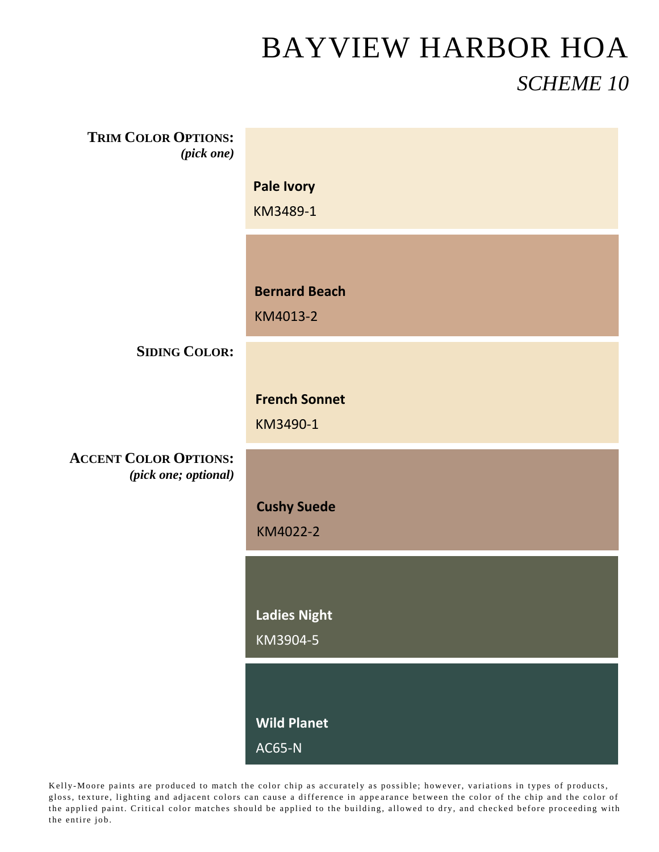| <b>TRIM COLOR OPTIONS:</b><br>(pick one)             |                                     |
|------------------------------------------------------|-------------------------------------|
|                                                      | <b>Pale Ivory</b><br>KM3489-1       |
|                                                      | <b>Bernard Beach</b><br>KM4013-2    |
| <b>SIDING COLOR:</b>                                 |                                     |
|                                                      | <b>French Sonnet</b><br>KM3490-1    |
| <b>ACCENT COLOR OPTIONS:</b><br>(pick one; optional) |                                     |
|                                                      | <b>Cushy Suede</b><br>KM4022-2      |
|                                                      | <b>Ladies Night</b><br>KM3904-5     |
|                                                      | <b>Wild Planet</b><br><b>AC65-N</b> |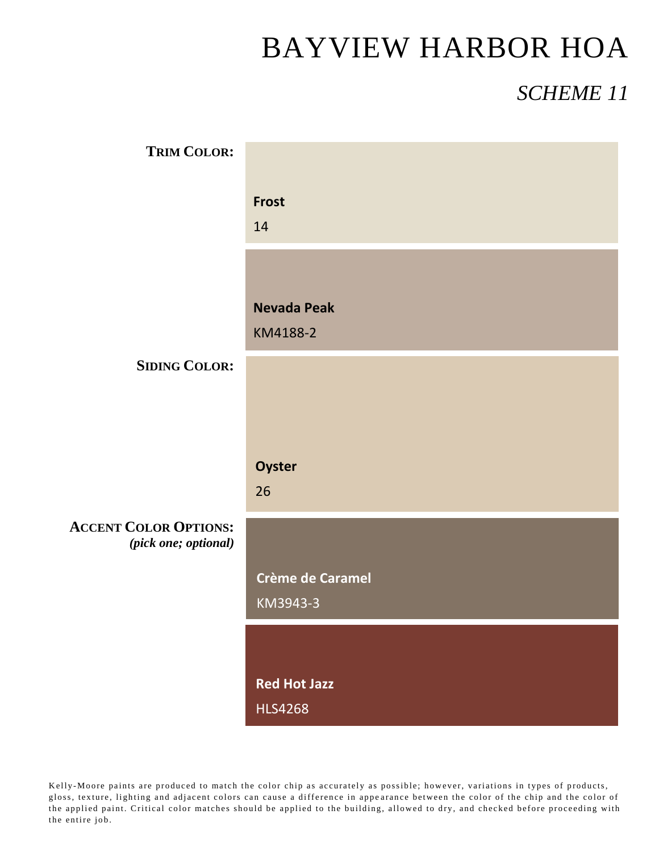#### BAYVIEW HARBOR HOA

#### *SCHEME 11*

| <b>TRIM COLOR:</b>                                   |                                       |
|------------------------------------------------------|---------------------------------------|
|                                                      | <b>Frost</b><br>14                    |
|                                                      | <b>Nevada Peak</b><br>KM4188-2        |
| <b>SIDING COLOR:</b>                                 |                                       |
|                                                      |                                       |
|                                                      | Oyster<br>26                          |
| <b>ACCENT COLOR OPTIONS:</b><br>(pick one; optional) |                                       |
|                                                      | Crème de Caramel<br>KM3943-3          |
|                                                      |                                       |
|                                                      | <b>Red Hot Jazz</b><br><b>HLS4268</b> |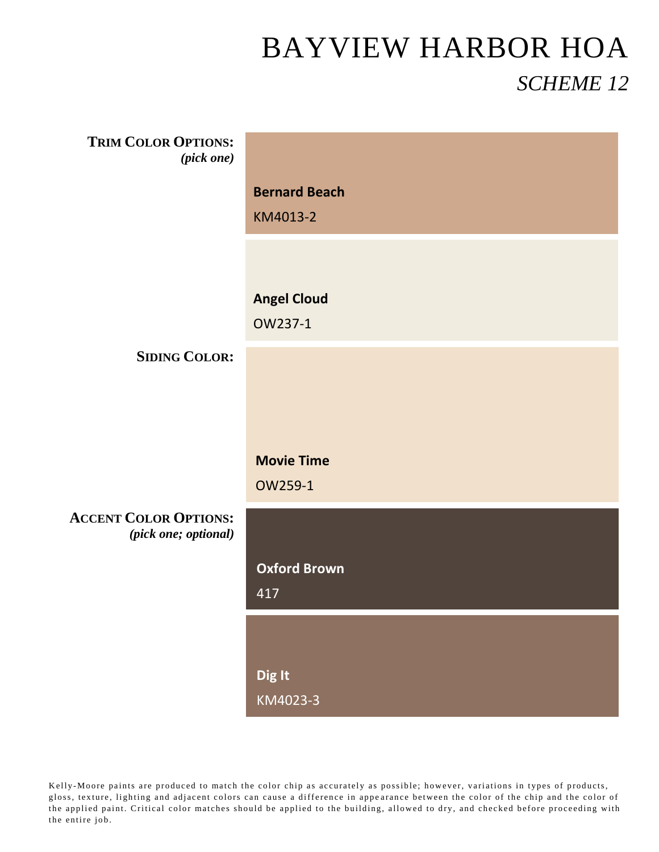| <b>TRIM COLOR OPTIONS:</b><br>(pick one)             |                                  |
|------------------------------------------------------|----------------------------------|
|                                                      | <b>Bernard Beach</b><br>KM4013-2 |
|                                                      |                                  |
|                                                      | <b>Angel Cloud</b><br>OW237-1    |
| <b>SIDING COLOR:</b>                                 |                                  |
|                                                      |                                  |
|                                                      | <b>Movie Time</b><br>OW259-1     |
| <b>ACCENT COLOR OPTIONS:</b><br>(pick one; optional) |                                  |
|                                                      | <b>Oxford Brown</b><br>417       |
|                                                      |                                  |
|                                                      | Dig It<br>KM4023-3               |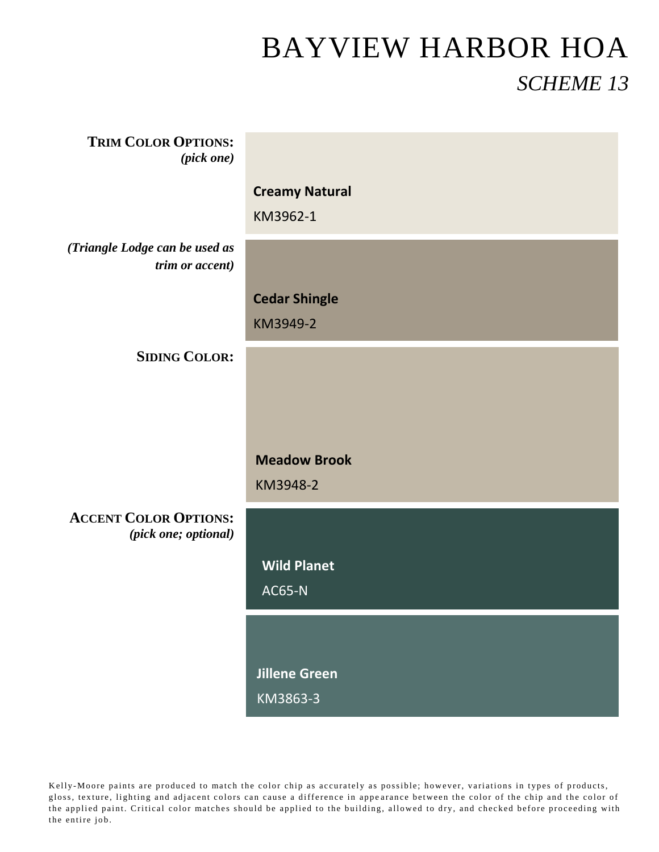| <b>TRIM COLOR OPTIONS:</b><br>$(pick\ one)$          |                       |
|------------------------------------------------------|-----------------------|
|                                                      | <b>Creamy Natural</b> |
|                                                      | KM3962-1              |
| (Triangle Lodge can be used as<br>trim or accent)    |                       |
|                                                      | <b>Cedar Shingle</b>  |
|                                                      | KM3949-2              |
| <b>SIDING COLOR:</b>                                 |                       |
|                                                      |                       |
|                                                      |                       |
|                                                      | <b>Meadow Brook</b>   |
|                                                      | KM3948-2              |
| <b>ACCENT COLOR OPTIONS:</b><br>(pick one; optional) |                       |
|                                                      | <b>Wild Planet</b>    |
|                                                      | <b>AC65-N</b>         |
|                                                      |                       |
|                                                      | <b>Jillene Green</b>  |
|                                                      | KM3863-3              |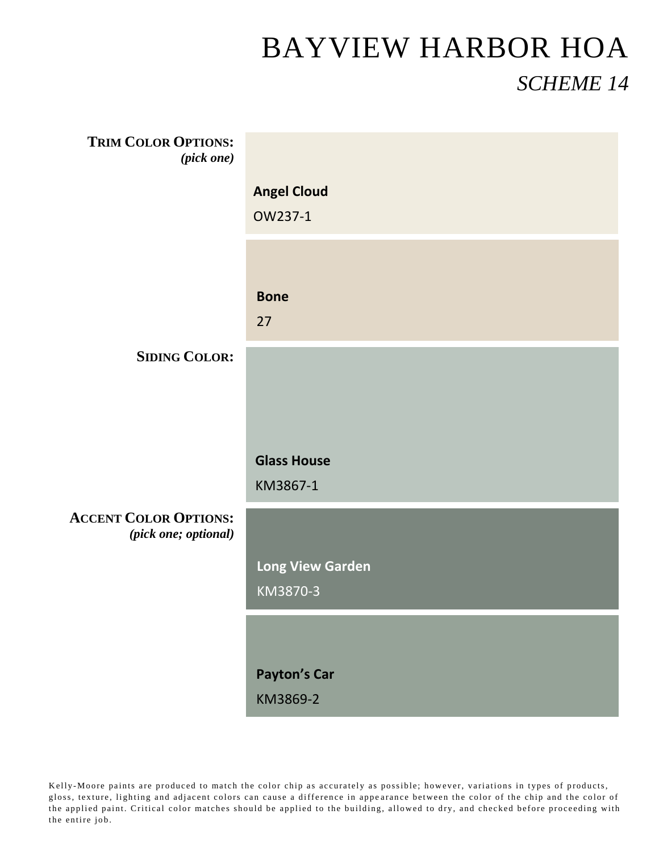| <b>TRIM COLOR OPTIONS:</b><br>$(pick \ one)$         |                                |
|------------------------------------------------------|--------------------------------|
|                                                      | <b>Angel Cloud</b>             |
|                                                      | OW237-1                        |
|                                                      |                                |
|                                                      | <b>Bone</b>                    |
|                                                      | 27                             |
| <b>SIDING COLOR:</b>                                 |                                |
|                                                      |                                |
|                                                      |                                |
|                                                      | <b>Glass House</b><br>KM3867-1 |
| <b>ACCENT COLOR OPTIONS:</b><br>(pick one; optional) |                                |
|                                                      | <b>Long View Garden</b>        |
|                                                      | KM3870-3                       |
|                                                      |                                |
|                                                      | <b>Payton's Car</b>            |
|                                                      | KM3869-2                       |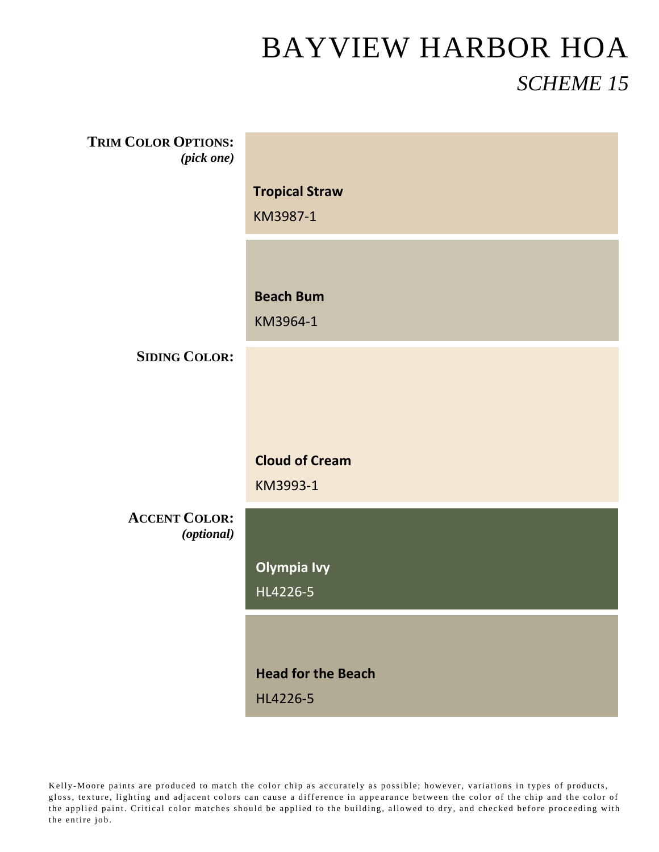| <b>TRIM COLOR OPTIONS:</b><br>(pick one) |                           |
|------------------------------------------|---------------------------|
|                                          | <b>Tropical Straw</b>     |
|                                          | KM3987-1                  |
|                                          |                           |
|                                          | <b>Beach Bum</b>          |
|                                          | KM3964-1                  |
| <b>SIDING COLOR:</b>                     |                           |
|                                          |                           |
|                                          |                           |
|                                          | <b>Cloud of Cream</b>     |
|                                          | KM3993-1                  |
| <b>ACCENT COLOR:</b><br>(optional)       |                           |
|                                          | <b>Olympia Ivy</b>        |
|                                          | HL4226-5                  |
|                                          |                           |
|                                          | <b>Head for the Beach</b> |
|                                          | HL4226-5                  |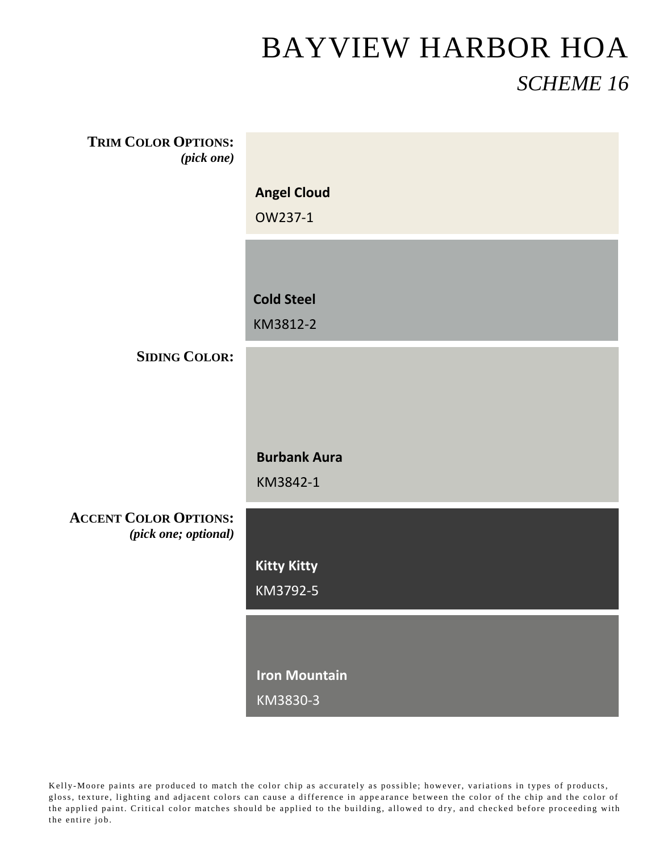| <b>TRIM COLOR OPTIONS:</b><br>(pick one)             |                      |
|------------------------------------------------------|----------------------|
|                                                      | <b>Angel Cloud</b>   |
|                                                      | OW237-1              |
|                                                      |                      |
|                                                      |                      |
|                                                      | <b>Cold Steel</b>    |
|                                                      | KM3812-2             |
|                                                      |                      |
| <b>SIDING COLOR:</b>                                 |                      |
|                                                      |                      |
|                                                      |                      |
|                                                      |                      |
|                                                      | <b>Burbank Aura</b>  |
|                                                      |                      |
|                                                      | KM3842-1             |
| <b>ACCENT COLOR OPTIONS:</b><br>(pick one; optional) |                      |
|                                                      | <b>Kitty Kitty</b>   |
|                                                      | KM3792-5             |
|                                                      |                      |
|                                                      |                      |
|                                                      | <b>Iron Mountain</b> |
|                                                      |                      |
|                                                      | KM3830-3             |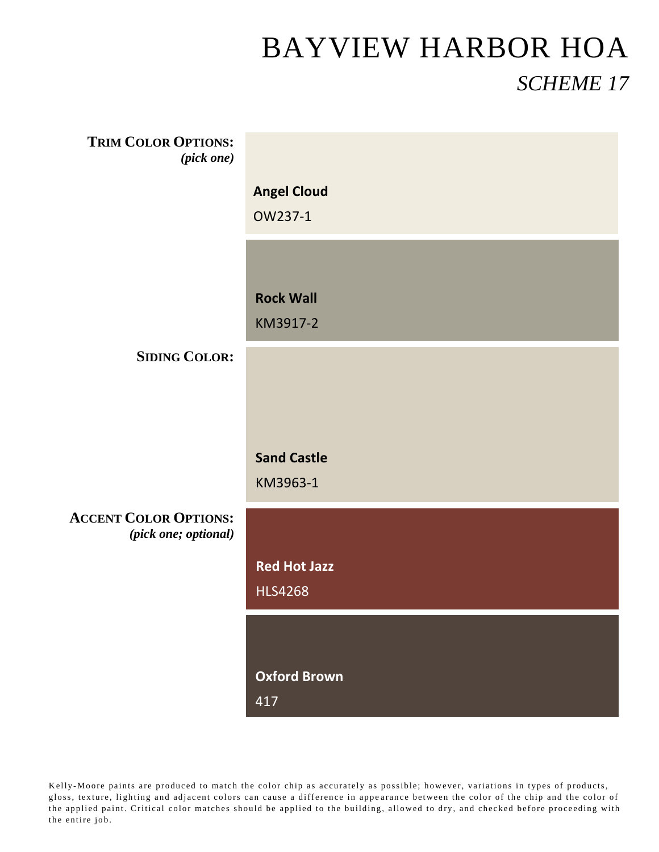| <b>TRIM COLOR OPTIONS:</b><br>$(pick\ one)$          |                     |
|------------------------------------------------------|---------------------|
|                                                      | <b>Angel Cloud</b>  |
|                                                      | OW237-1             |
|                                                      |                     |
|                                                      |                     |
|                                                      | <b>Rock Wall</b>    |
|                                                      | KM3917-2            |
| <b>SIDING COLOR:</b>                                 |                     |
|                                                      |                     |
|                                                      |                     |
|                                                      |                     |
|                                                      | <b>Sand Castle</b>  |
|                                                      | KM3963-1            |
| <b>ACCENT COLOR OPTIONS:</b><br>(pick one; optional) |                     |
|                                                      | <b>Red Hot Jazz</b> |
|                                                      | <b>HLS4268</b>      |
|                                                      |                     |
|                                                      |                     |
|                                                      | <b>Oxford Brown</b> |
|                                                      | 417                 |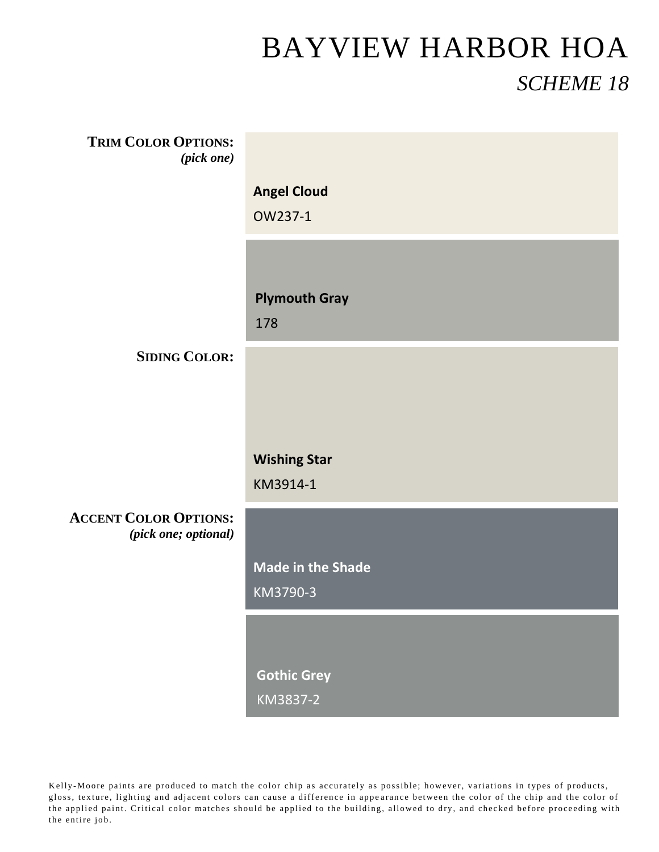| <b>TRIM COLOR OPTIONS:</b><br>(pick one)             |                          |
|------------------------------------------------------|--------------------------|
|                                                      | <b>Angel Cloud</b>       |
|                                                      | OW237-1                  |
|                                                      |                          |
|                                                      | <b>Plymouth Gray</b>     |
|                                                      | 178                      |
| <b>SIDING COLOR:</b>                                 |                          |
|                                                      |                          |
|                                                      |                          |
|                                                      | <b>Wishing Star</b>      |
|                                                      | KM3914-1                 |
| <b>ACCENT COLOR OPTIONS:</b><br>(pick one; optional) |                          |
|                                                      | <b>Made in the Shade</b> |
|                                                      | KM3790-3                 |
|                                                      |                          |
|                                                      |                          |
|                                                      | <b>Gothic Grey</b>       |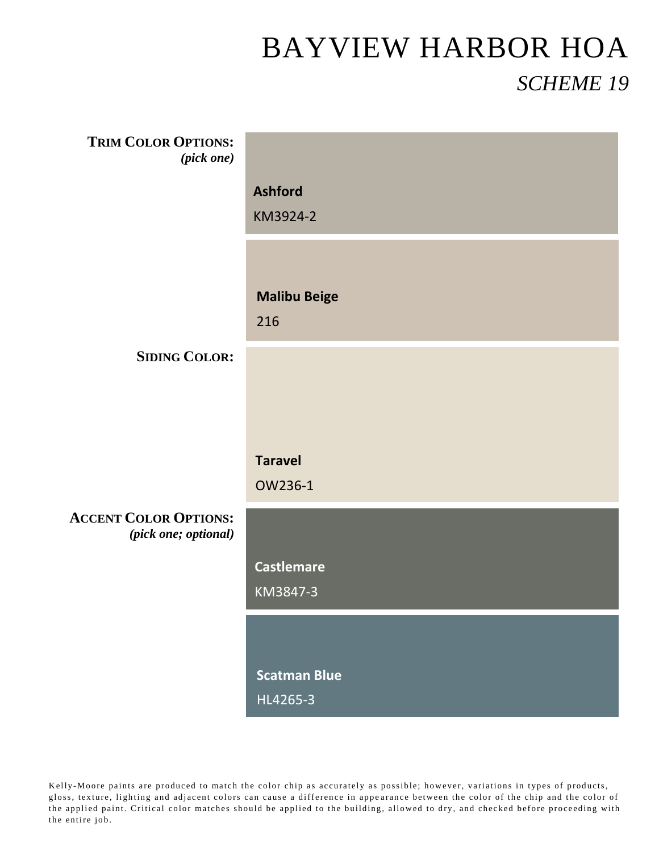| <b>TRIM COLOR OPTIONS:</b><br>(pick one) |                     |
|------------------------------------------|---------------------|
|                                          |                     |
|                                          | <b>Ashford</b>      |
|                                          | KM3924-2            |
|                                          |                     |
|                                          |                     |
|                                          | <b>Malibu Beige</b> |
|                                          | 216                 |
| <b>SIDING COLOR:</b>                     |                     |
|                                          |                     |
|                                          |                     |
|                                          |                     |
|                                          | <b>Taravel</b>      |
|                                          | OW236-1             |
| <b>ACCENT COLOR OPTIONS:</b>             |                     |
| (pick one; optional)                     |                     |
|                                          | <b>Castlemare</b>   |
|                                          | KM3847-3            |
|                                          |                     |
|                                          |                     |
|                                          |                     |
|                                          | <b>Scatman Blue</b> |
|                                          | HL4265-3            |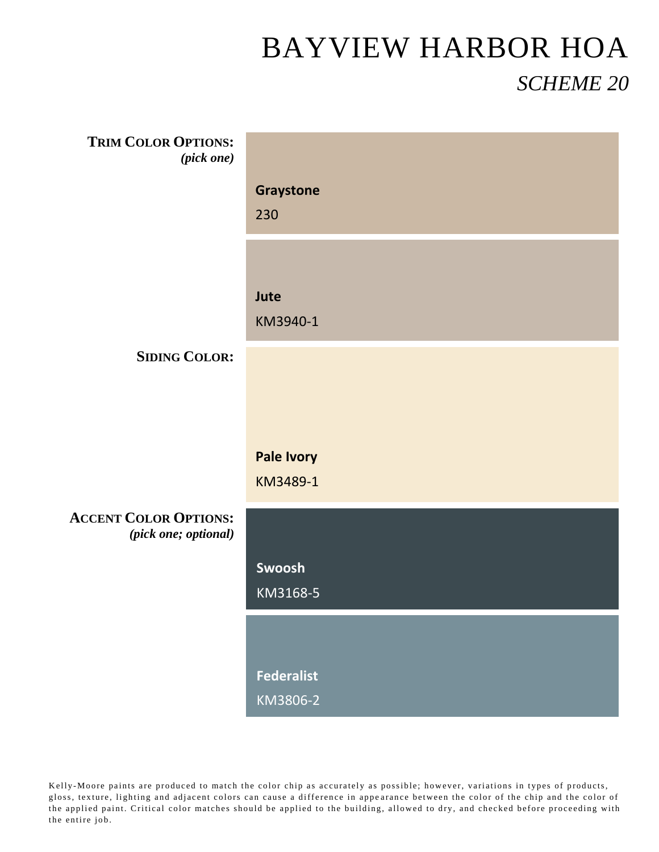| <b>TRIM COLOR OPTIONS:</b><br>(pick one)             |                   |
|------------------------------------------------------|-------------------|
|                                                      |                   |
|                                                      | Graystone         |
|                                                      | 230               |
|                                                      |                   |
|                                                      |                   |
|                                                      | Jute              |
|                                                      | KM3940-1          |
| <b>SIDING COLOR:</b>                                 |                   |
|                                                      |                   |
|                                                      |                   |
|                                                      |                   |
|                                                      |                   |
|                                                      |                   |
|                                                      | <b>Pale Ivory</b> |
|                                                      | KM3489-1          |
| <b>ACCENT COLOR OPTIONS:</b><br>(pick one; optional) |                   |
|                                                      |                   |
|                                                      | Swoosh            |
|                                                      | KM3168-5          |
|                                                      |                   |
|                                                      |                   |
|                                                      | <b>Federalist</b> |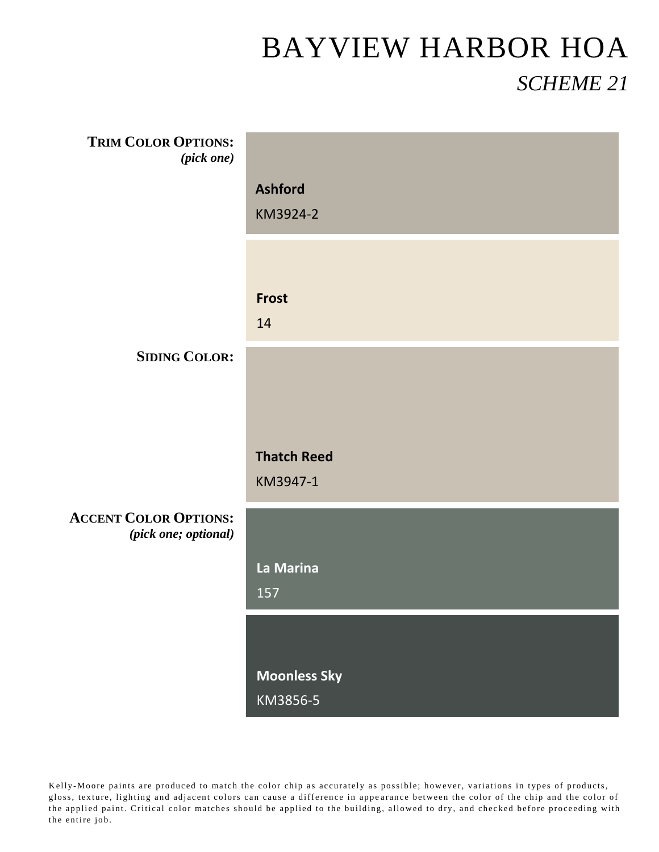| <b>TRIM COLOR OPTIONS:</b>                           |                     |
|------------------------------------------------------|---------------------|
| $(pick\ one)$                                        |                     |
|                                                      | <b>Ashford</b>      |
|                                                      | KM3924-2            |
|                                                      |                     |
|                                                      | <b>Frost</b>        |
|                                                      | 14                  |
| <b>SIDING COLOR:</b>                                 |                     |
|                                                      |                     |
|                                                      |                     |
|                                                      | <b>Thatch Reed</b>  |
|                                                      | KM3947-1            |
|                                                      |                     |
| <b>ACCENT COLOR OPTIONS:</b><br>(pick one; optional) |                     |
|                                                      | La Marina           |
|                                                      | 157                 |
|                                                      |                     |
|                                                      | <b>Moonless Sky</b> |
|                                                      | KM3856-5            |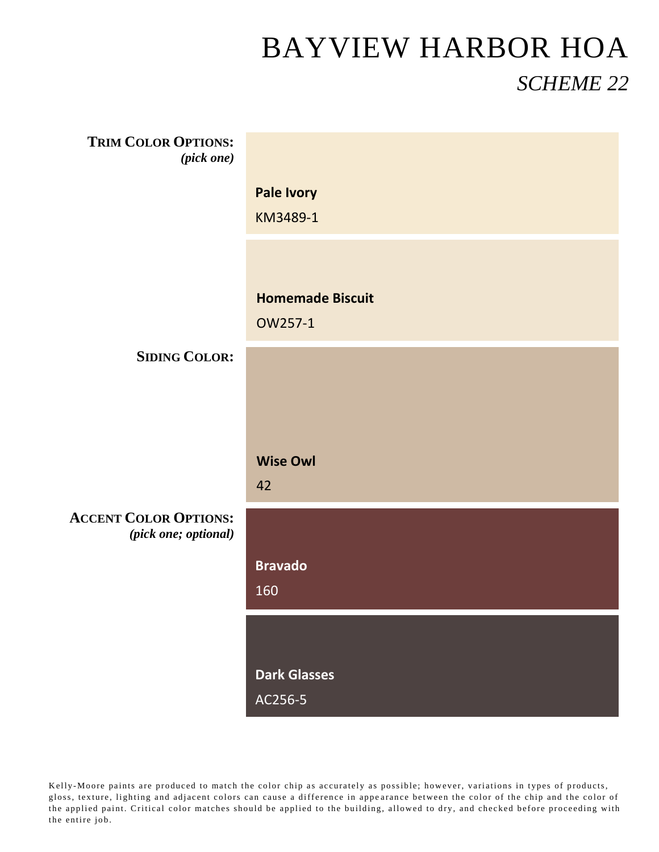| <b>TRIM COLOR OPTIONS:</b><br>$(pick \ one)$         |                         |
|------------------------------------------------------|-------------------------|
|                                                      | <b>Pale Ivory</b>       |
|                                                      | KM3489-1                |
|                                                      |                         |
|                                                      | <b>Homemade Biscuit</b> |
|                                                      | OW257-1                 |
| <b>SIDING COLOR:</b>                                 |                         |
|                                                      |                         |
|                                                      |                         |
|                                                      | <b>Wise Owl</b>         |
|                                                      | 42                      |
| <b>ACCENT COLOR OPTIONS:</b><br>(pick one; optional) |                         |
|                                                      | <b>Bravado</b>          |
|                                                      | 160                     |
|                                                      |                         |
|                                                      | <b>Dark Glasses</b>     |
|                                                      | AC256-5                 |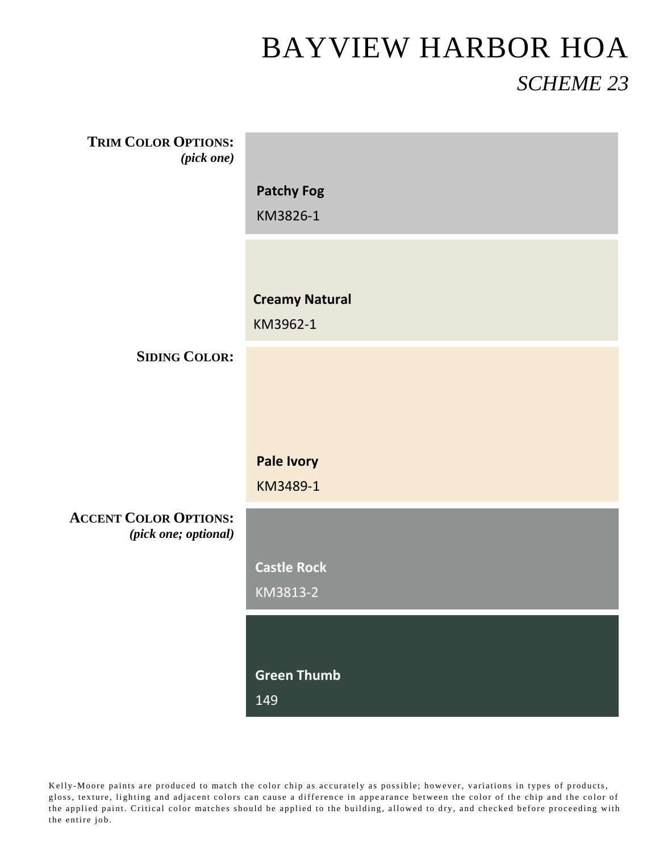| <b>TRIM COLOR OPTIONS:</b><br>(pick one)             |                                   |
|------------------------------------------------------|-----------------------------------|
|                                                      | <b>Patchy Fog</b>                 |
|                                                      | KM3826-1                          |
|                                                      |                                   |
|                                                      |                                   |
|                                                      | <b>Creamy Natural</b><br>KM3962-1 |
| <b>SIDING COLOR:</b>                                 |                                   |
|                                                      |                                   |
|                                                      |                                   |
|                                                      | <b>Pale Ivory</b>                 |
|                                                      | KM3489-1                          |
| <b>ACCENT COLOR OPTIONS:</b><br>(pick one; optional) |                                   |
|                                                      | <b>Castle Rock</b>                |
|                                                      | KM3813-2                          |
|                                                      |                                   |
|                                                      | <b>Green Thumb</b>                |
|                                                      | 149                               |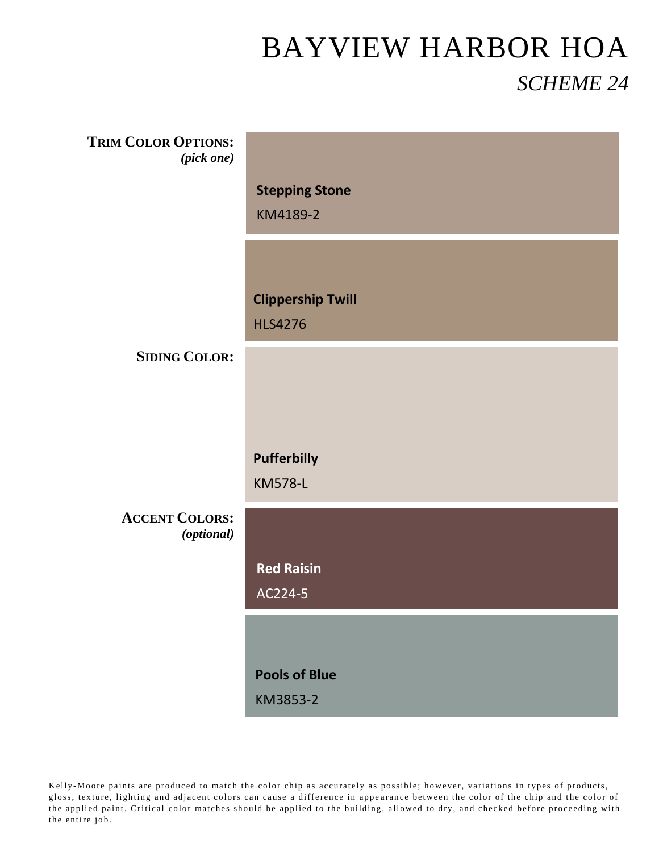| <b>TRIM COLOR OPTIONS:</b><br>(pick one) |                                            |
|------------------------------------------|--------------------------------------------|
|                                          | <b>Stepping Stone</b><br>KM4189-2          |
|                                          |                                            |
|                                          | <b>Clippership Twill</b><br><b>HLS4276</b> |
| <b>SIDING COLOR:</b>                     |                                            |
|                                          |                                            |
|                                          | <b>Pufferbilly</b><br><b>KM578-L</b>       |
|                                          |                                            |
| <b>ACCENT COLORS:</b><br>(optional)      |                                            |
|                                          | <b>Red Raisin</b>                          |
|                                          | AC224-5                                    |
|                                          |                                            |
|                                          | <b>Pools of Blue</b><br>KM3853-2           |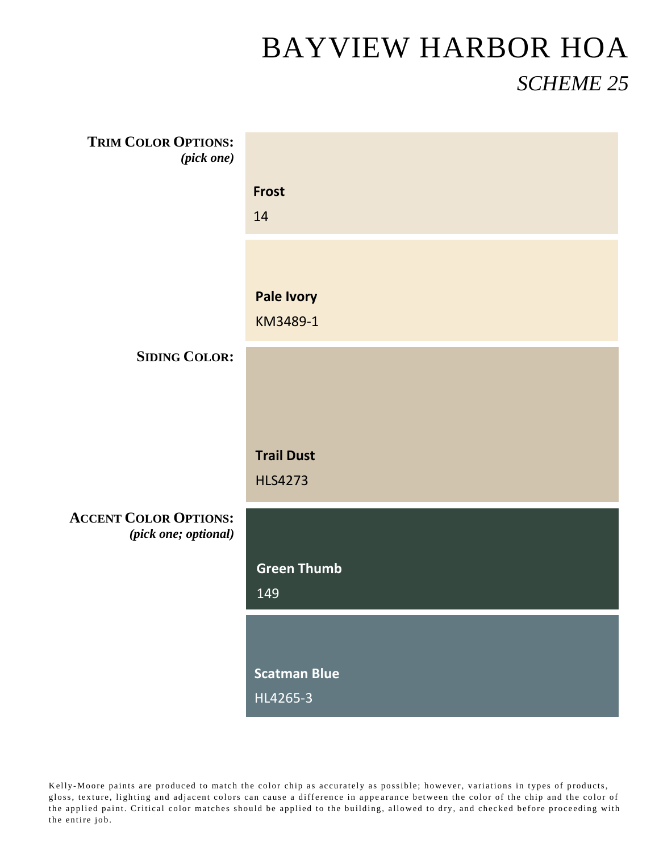| <b>TRIM COLOR OPTIONS:</b><br>(pick one)             |                     |
|------------------------------------------------------|---------------------|
|                                                      | <b>Frost</b>        |
|                                                      | 14                  |
|                                                      |                     |
|                                                      |                     |
|                                                      | <b>Pale Ivory</b>   |
|                                                      | KM3489-1            |
| <b>SIDING COLOR:</b>                                 |                     |
|                                                      |                     |
|                                                      |                     |
|                                                      | <b>Trail Dust</b>   |
|                                                      | <b>HLS4273</b>      |
|                                                      |                     |
| <b>ACCENT COLOR OPTIONS:</b><br>(pick one; optional) |                     |
|                                                      | <b>Green Thumb</b>  |
|                                                      | 149                 |
|                                                      |                     |
|                                                      |                     |
|                                                      | <b>Scatman Blue</b> |
|                                                      | HL4265-3            |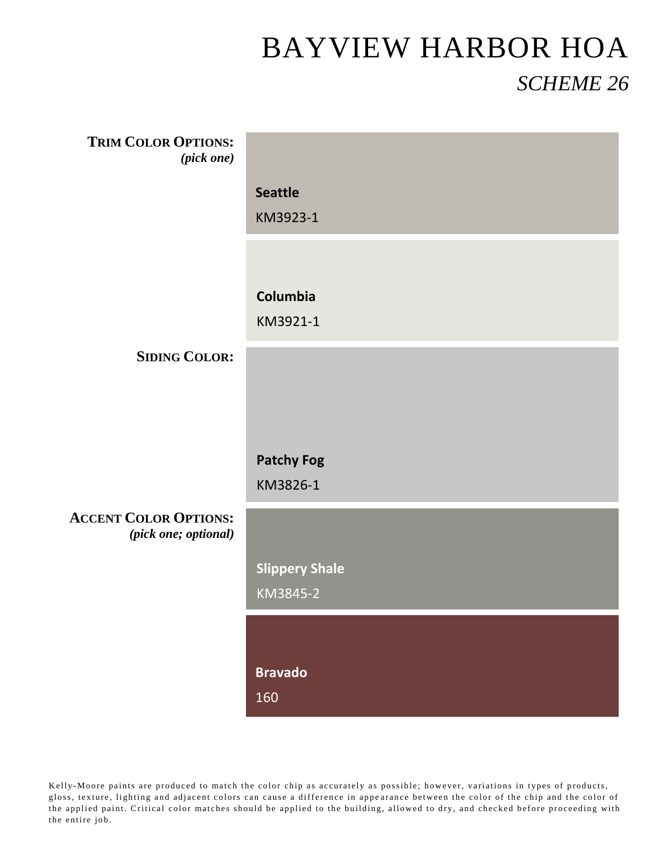| <b>TRIM COLOR OPTIONS:</b><br>(pick one)             |                               |
|------------------------------------------------------|-------------------------------|
|                                                      | <b>Seattle</b>                |
|                                                      | KM3923-1                      |
|                                                      |                               |
|                                                      |                               |
|                                                      | Columbia                      |
|                                                      | KM3921-1                      |
| <b>SIDING COLOR:</b>                                 |                               |
|                                                      |                               |
|                                                      |                               |
|                                                      |                               |
|                                                      | <b>Patchy Fog</b><br>KM3826-1 |
|                                                      |                               |
| <b>ACCENT COLOR OPTIONS:</b><br>(pick one; optional) |                               |
|                                                      | <b>Slippery Shale</b>         |
|                                                      | KM3845-2                      |
|                                                      |                               |
|                                                      |                               |
|                                                      | <b>Bravado</b>                |
|                                                      | 160                           |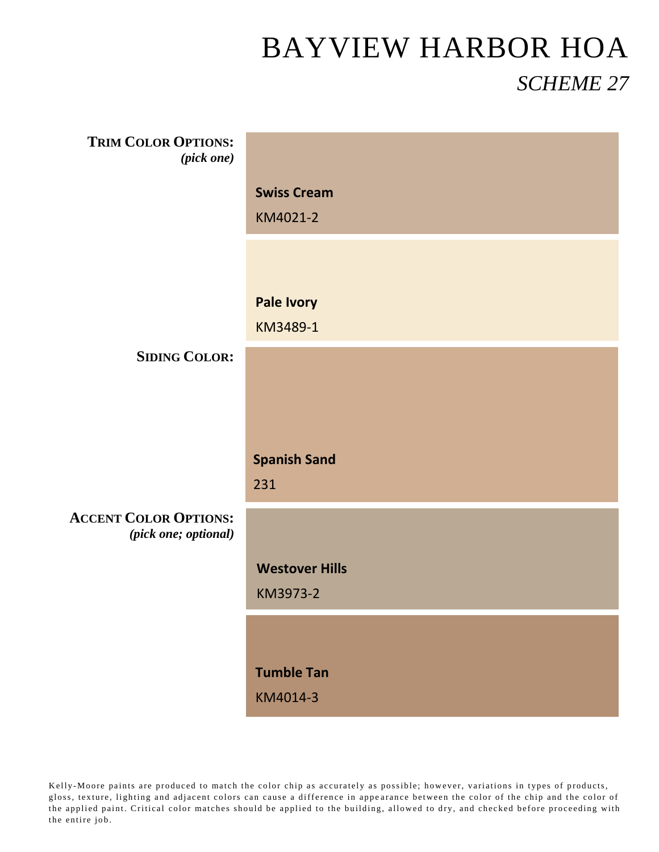| <b>TRIM COLOR OPTIONS:</b><br>(pick one)             |                       |
|------------------------------------------------------|-----------------------|
|                                                      |                       |
|                                                      | <b>Swiss Cream</b>    |
|                                                      | KM4021-2              |
|                                                      |                       |
|                                                      |                       |
|                                                      | <b>Pale Ivory</b>     |
|                                                      | KM3489-1              |
| <b>SIDING COLOR:</b>                                 |                       |
|                                                      |                       |
|                                                      |                       |
|                                                      |                       |
|                                                      |                       |
|                                                      | <b>Spanish Sand</b>   |
|                                                      | 231                   |
| <b>ACCENT COLOR OPTIONS:</b><br>(pick one; optional) |                       |
|                                                      | <b>Westover Hills</b> |
|                                                      | KM3973-2              |
|                                                      |                       |
|                                                      |                       |
|                                                      | <b>Tumble Tan</b>     |
|                                                      |                       |
|                                                      | KM4014-3              |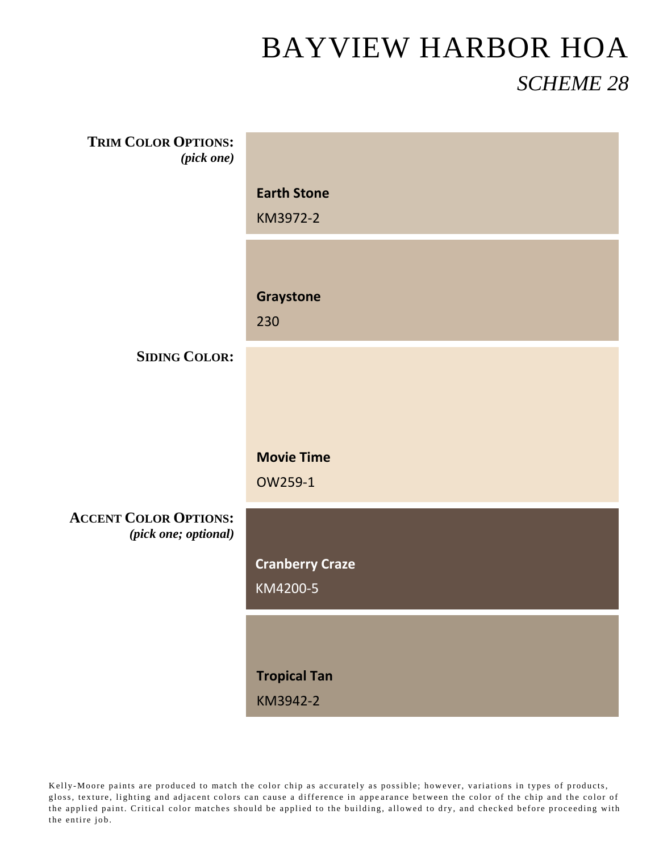| <b>TRIM COLOR OPTIONS:</b>   |                                 |
|------------------------------|---------------------------------|
| $(pick\ one)$                |                                 |
|                              | <b>Earth Stone</b>              |
|                              | KM3972-2                        |
|                              |                                 |
|                              |                                 |
|                              | Graystone                       |
|                              | 230                             |
| <b>SIDING COLOR:</b>         |                                 |
|                              |                                 |
|                              |                                 |
|                              |                                 |
|                              | <b>Movie Time</b>               |
|                              | OW259-1                         |
| <b>ACCENT COLOR OPTIONS:</b> |                                 |
| (pick one; optional)         |                                 |
|                              | <b>Cranberry Craze</b>          |
|                              | KM4200-5                        |
|                              |                                 |
|                              |                                 |
|                              |                                 |
|                              |                                 |
|                              | <b>Tropical Tan</b><br>KM3942-2 |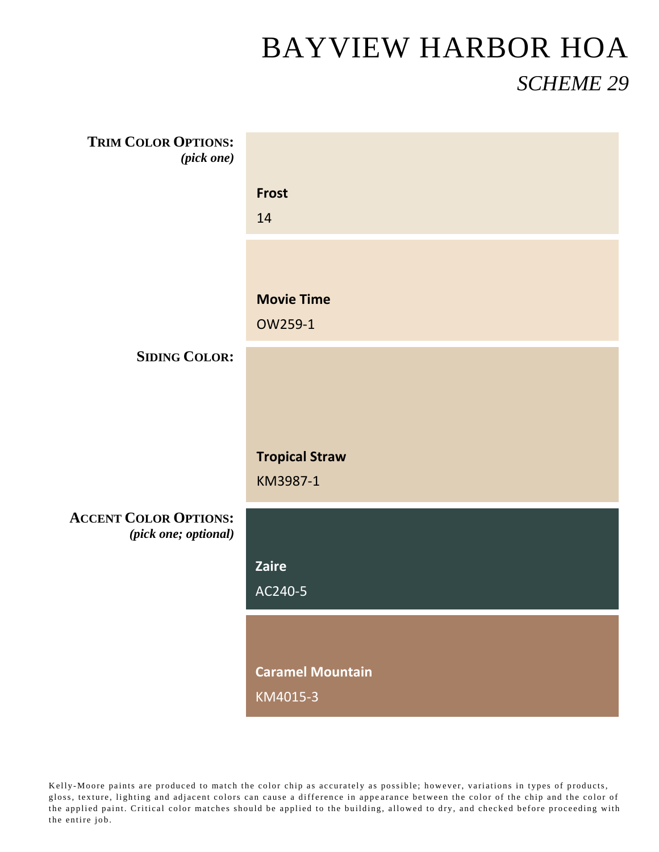| <b>TRIM COLOR OPTIONS:</b><br>(pick one)             |                         |
|------------------------------------------------------|-------------------------|
|                                                      | <b>Frost</b>            |
|                                                      | 14                      |
|                                                      |                         |
|                                                      | <b>Movie Time</b>       |
|                                                      | OW259-1                 |
| <b>SIDING COLOR:</b>                                 |                         |
|                                                      |                         |
|                                                      |                         |
|                                                      | <b>Tropical Straw</b>   |
|                                                      | KM3987-1                |
| <b>ACCENT COLOR OPTIONS:</b><br>(pick one; optional) |                         |
|                                                      | Zaire                   |
|                                                      | AC240-5                 |
|                                                      |                         |
|                                                      |                         |
|                                                      | <b>Caramel Mountain</b> |
|                                                      | KM4015-3                |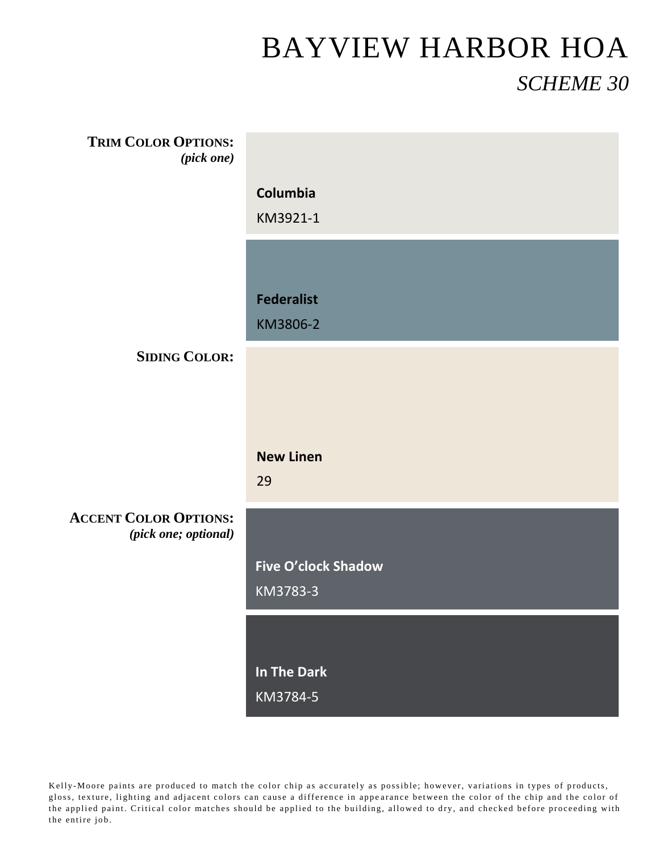| <b>TRIM COLOR OPTIONS:</b><br>$(pick\ one)$          |                            |
|------------------------------------------------------|----------------------------|
|                                                      | Columbia                   |
|                                                      | KM3921-1                   |
|                                                      |                            |
|                                                      |                            |
|                                                      | <b>Federalist</b>          |
|                                                      | KM3806-2                   |
| <b>SIDING COLOR:</b>                                 |                            |
|                                                      |                            |
|                                                      |                            |
|                                                      |                            |
|                                                      | <b>New Linen</b>           |
|                                                      | 29                         |
| <b>ACCENT COLOR OPTIONS:</b><br>(pick one; optional) |                            |
|                                                      | <b>Five O'clock Shadow</b> |
|                                                      | KM3783-3                   |
|                                                      |                            |
|                                                      |                            |
|                                                      | In The Dark                |
|                                                      | KM3784-5                   |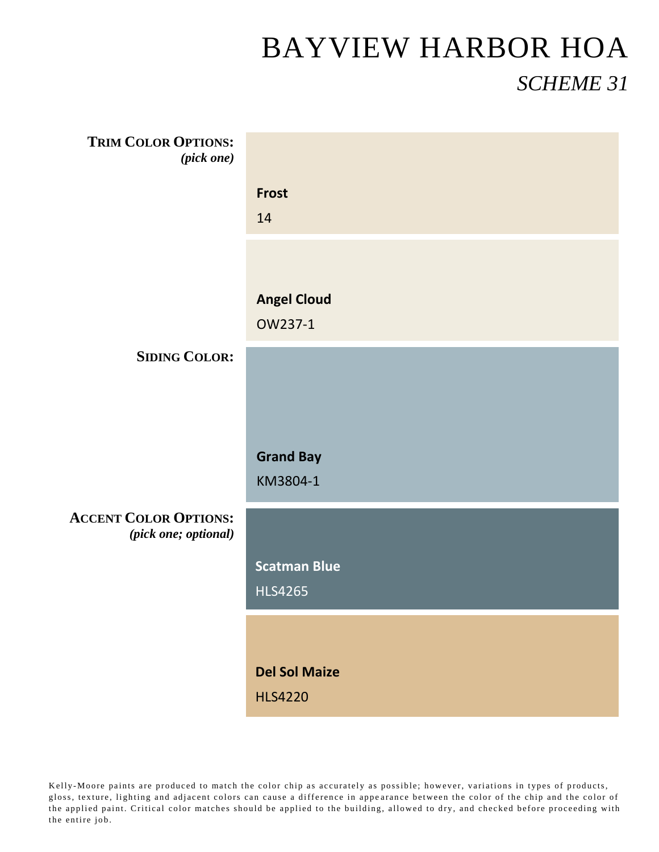| <b>TRIM COLOR OPTIONS:</b><br>(pick one)             |                      |
|------------------------------------------------------|----------------------|
|                                                      | <b>Frost</b>         |
|                                                      | 14                   |
|                                                      |                      |
|                                                      |                      |
|                                                      | <b>Angel Cloud</b>   |
|                                                      | OW237-1              |
| <b>SIDING COLOR:</b>                                 |                      |
|                                                      |                      |
|                                                      |                      |
|                                                      |                      |
|                                                      |                      |
|                                                      | <b>Grand Bay</b>     |
|                                                      | KM3804-1             |
|                                                      |                      |
| <b>ACCENT COLOR OPTIONS:</b><br>(pick one; optional) |                      |
|                                                      | <b>Scatman Blue</b>  |
|                                                      | <b>HLS4265</b>       |
|                                                      |                      |
|                                                      |                      |
|                                                      | <b>Del Sol Maize</b> |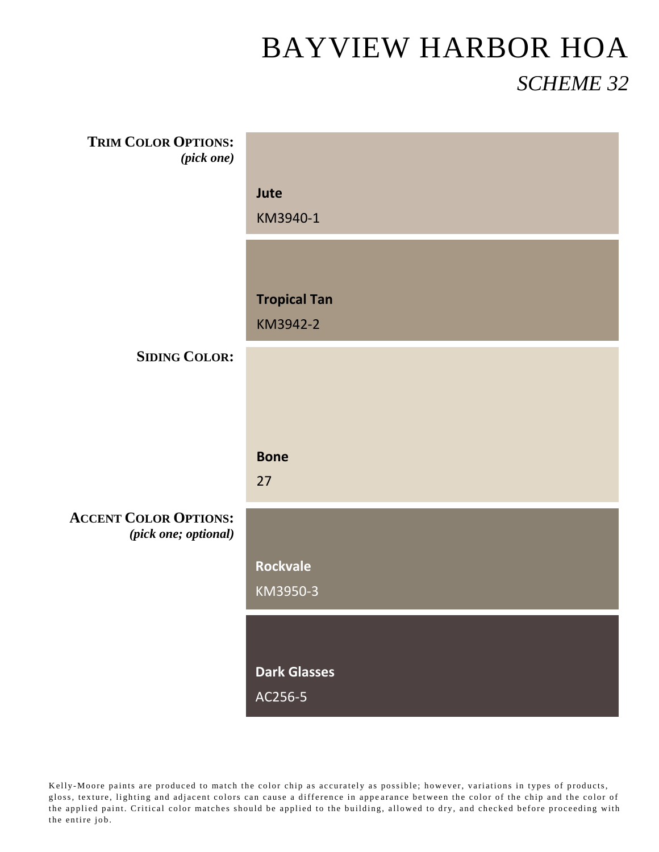| <b>TRIM COLOR OPTIONS:</b><br>(pick one)             |                     |
|------------------------------------------------------|---------------------|
|                                                      | Jute                |
|                                                      | KM3940-1            |
|                                                      |                     |
|                                                      |                     |
|                                                      | <b>Tropical Tan</b> |
|                                                      | KM3942-2            |
| <b>SIDING COLOR:</b>                                 |                     |
|                                                      |                     |
|                                                      |                     |
|                                                      |                     |
|                                                      | <b>Bone</b>         |
|                                                      | 27                  |
| <b>ACCENT COLOR OPTIONS:</b><br>(pick one; optional) |                     |
|                                                      | <b>Rockvale</b>     |
|                                                      | KM3950-3            |
|                                                      |                     |
|                                                      |                     |
|                                                      | <b>Dark Glasses</b> |
|                                                      | AC256-5             |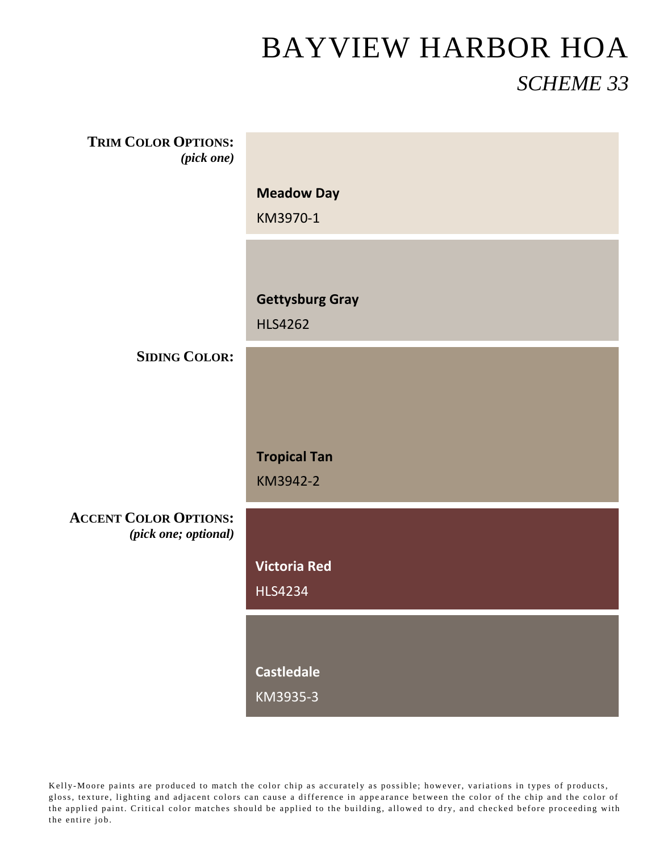| <b>TRIM COLOR OPTIONS:</b><br>(pick one)             |                        |
|------------------------------------------------------|------------------------|
|                                                      | <b>Meadow Day</b>      |
|                                                      | KM3970-1               |
|                                                      |                        |
|                                                      | <b>Gettysburg Gray</b> |
|                                                      | <b>HLS4262</b>         |
| <b>SIDING COLOR:</b>                                 |                        |
|                                                      |                        |
|                                                      |                        |
|                                                      | <b>Tropical Tan</b>    |
|                                                      | KM3942-2               |
| <b>ACCENT COLOR OPTIONS:</b><br>(pick one; optional) |                        |
|                                                      | <b>Victoria Red</b>    |
|                                                      | <b>HLS4234</b>         |
|                                                      |                        |
|                                                      | <b>Castledale</b>      |
|                                                      | KM3935-3               |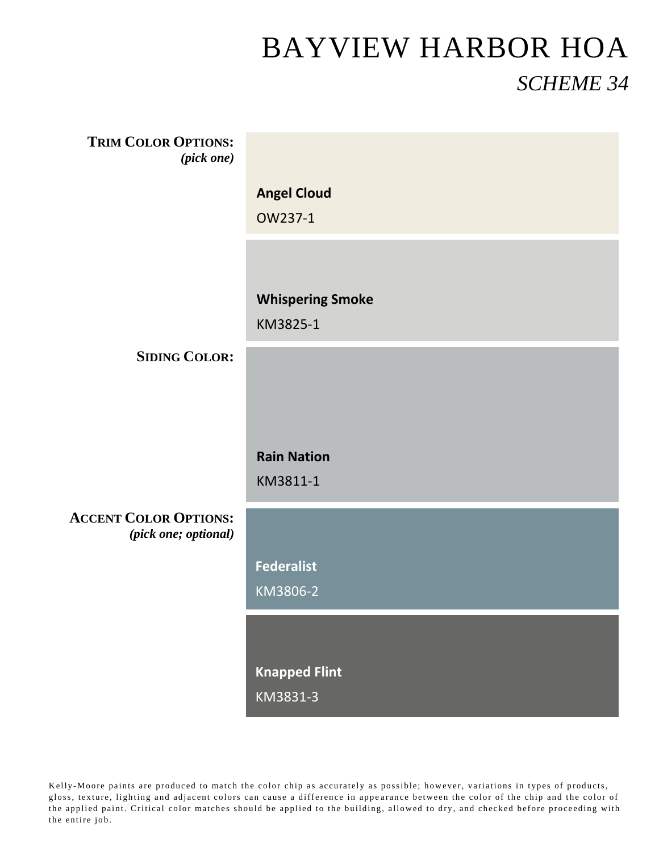| <b>TRIM COLOR OPTIONS:</b><br>(pick one)             |                         |
|------------------------------------------------------|-------------------------|
|                                                      | <b>Angel Cloud</b>      |
|                                                      | OW237-1                 |
|                                                      |                         |
|                                                      |                         |
|                                                      | <b>Whispering Smoke</b> |
|                                                      | KM3825-1                |
| <b>SIDING COLOR:</b>                                 |                         |
|                                                      |                         |
|                                                      |                         |
|                                                      |                         |
|                                                      | <b>Rain Nation</b>      |
|                                                      | KM3811-1                |
| <b>ACCENT COLOR OPTIONS:</b><br>(pick one; optional) |                         |
|                                                      | <b>Federalist</b>       |
|                                                      | KM3806-2                |
|                                                      |                         |
|                                                      | <b>Knapped Flint</b>    |
|                                                      | KM3831-3                |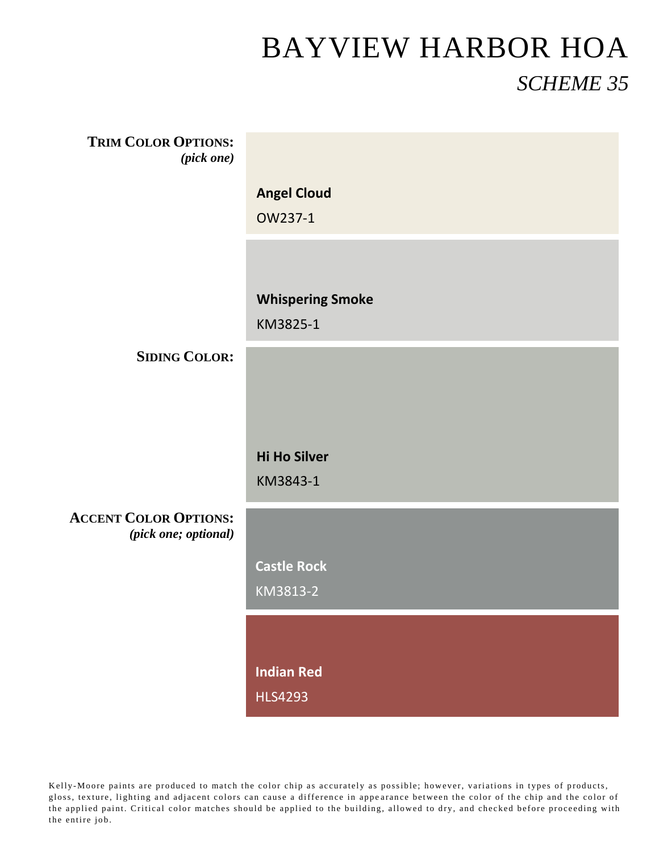| <b>TRIM COLOR OPTIONS:</b><br>(pick one)             |                         |
|------------------------------------------------------|-------------------------|
|                                                      | <b>Angel Cloud</b>      |
|                                                      | OW237-1                 |
|                                                      |                         |
|                                                      |                         |
|                                                      | <b>Whispering Smoke</b> |
|                                                      | KM3825-1                |
|                                                      |                         |
| <b>SIDING COLOR:</b>                                 |                         |
|                                                      |                         |
|                                                      |                         |
|                                                      | <b>Hi Ho Silver</b>     |
|                                                      | KM3843-1                |
|                                                      |                         |
| <b>ACCENT COLOR OPTIONS:</b><br>(pick one; optional) |                         |
|                                                      | <b>Castle Rock</b>      |
|                                                      | KM3813-2                |
|                                                      |                         |
|                                                      |                         |
|                                                      | <b>Indian Red</b>       |
|                                                      | <b>HLS4293</b>          |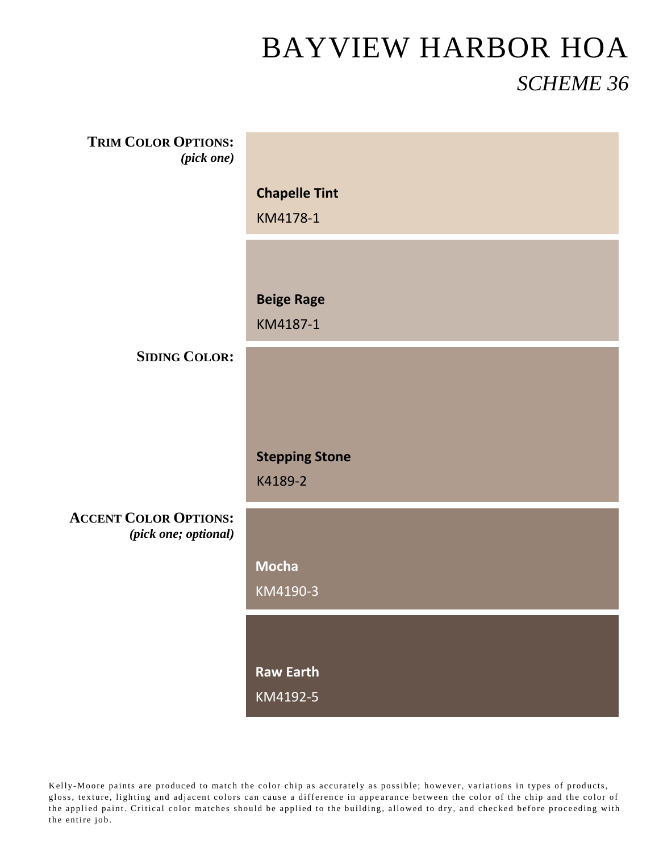| <b>TRIM COLOR OPTIONS:</b><br>(pick one)             |                       |
|------------------------------------------------------|-----------------------|
|                                                      | <b>Chapelle Tint</b>  |
|                                                      | KM4178-1              |
|                                                      |                       |
|                                                      | <b>Beige Rage</b>     |
|                                                      | KM4187-1              |
| <b>SIDING COLOR:</b>                                 |                       |
|                                                      |                       |
|                                                      |                       |
|                                                      | <b>Stepping Stone</b> |
|                                                      | K4189-2               |
| <b>ACCENT COLOR OPTIONS:</b><br>(pick one; optional) |                       |
|                                                      | <b>Mocha</b>          |
|                                                      | KM4190-3              |
|                                                      |                       |
|                                                      | <b>Raw Earth</b>      |
|                                                      | KM4192-5              |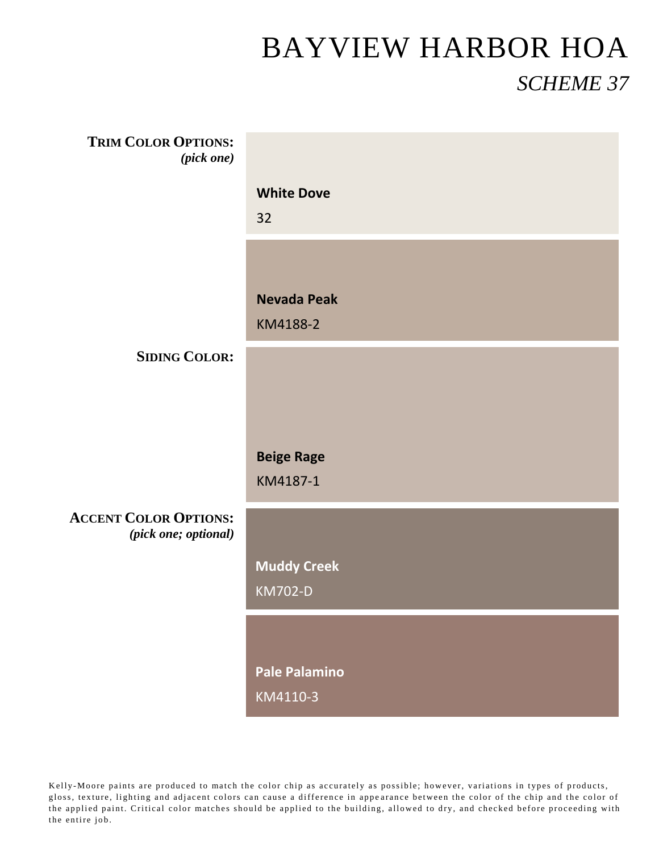| <b>TRIM COLOR OPTIONS:</b><br>(pick one)             |                                      |
|------------------------------------------------------|--------------------------------------|
|                                                      | <b>White Dove</b><br>32              |
|                                                      | <b>Nevada Peak</b><br>KM4188-2       |
| <b>SIDING COLOR:</b>                                 |                                      |
|                                                      |                                      |
|                                                      | <b>Beige Rage</b><br>KM4187-1        |
| <b>ACCENT COLOR OPTIONS:</b><br>(pick one; optional) |                                      |
|                                                      | <b>Muddy Creek</b><br><b>KM702-D</b> |
|                                                      |                                      |
|                                                      | <b>Pale Palamino</b><br>KM4110-3     |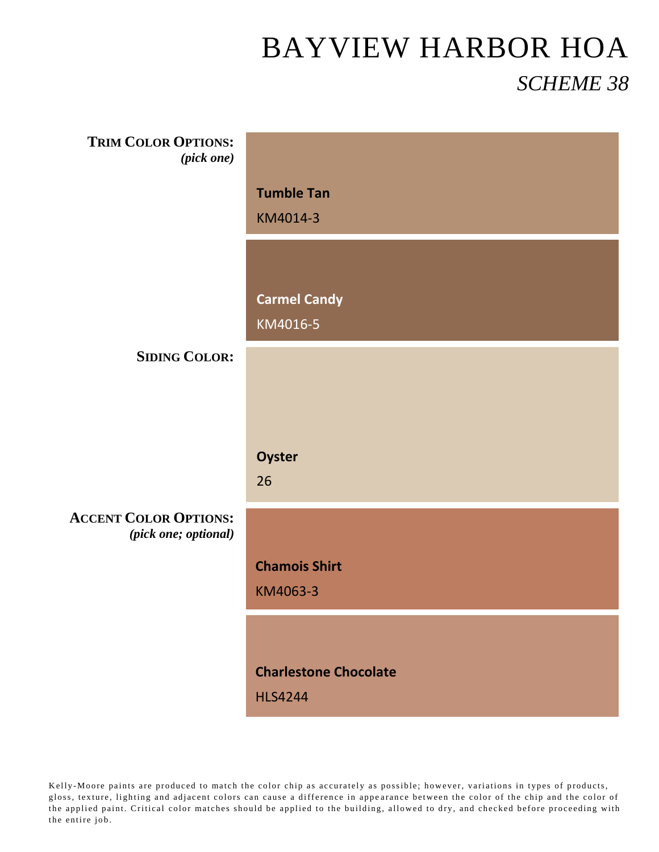| <b>TRIM COLOR OPTIONS:</b><br>(pick one) |                              |  |  |  |
|------------------------------------------|------------------------------|--|--|--|
|                                          |                              |  |  |  |
|                                          | <b>Tumble Tan</b>            |  |  |  |
|                                          | KM4014-3                     |  |  |  |
|                                          |                              |  |  |  |
|                                          |                              |  |  |  |
|                                          |                              |  |  |  |
|                                          | <b>Carmel Candy</b>          |  |  |  |
|                                          | KM4016-5                     |  |  |  |
|                                          |                              |  |  |  |
| <b>SIDING COLOR:</b>                     |                              |  |  |  |
|                                          |                              |  |  |  |
|                                          |                              |  |  |  |
|                                          |                              |  |  |  |
|                                          |                              |  |  |  |
|                                          | Oyster                       |  |  |  |
|                                          | 26                           |  |  |  |
|                                          |                              |  |  |  |
| <b>ACCENT COLOR OPTIONS:</b>             |                              |  |  |  |
| (pick one; optional)                     |                              |  |  |  |
|                                          | <b>Chamois Shirt</b>         |  |  |  |
|                                          | KM4063-3                     |  |  |  |
|                                          |                              |  |  |  |
|                                          |                              |  |  |  |
|                                          |                              |  |  |  |
|                                          | <b>Charlestone Chocolate</b> |  |  |  |
|                                          | <b>HLS4244</b>               |  |  |  |
|                                          |                              |  |  |  |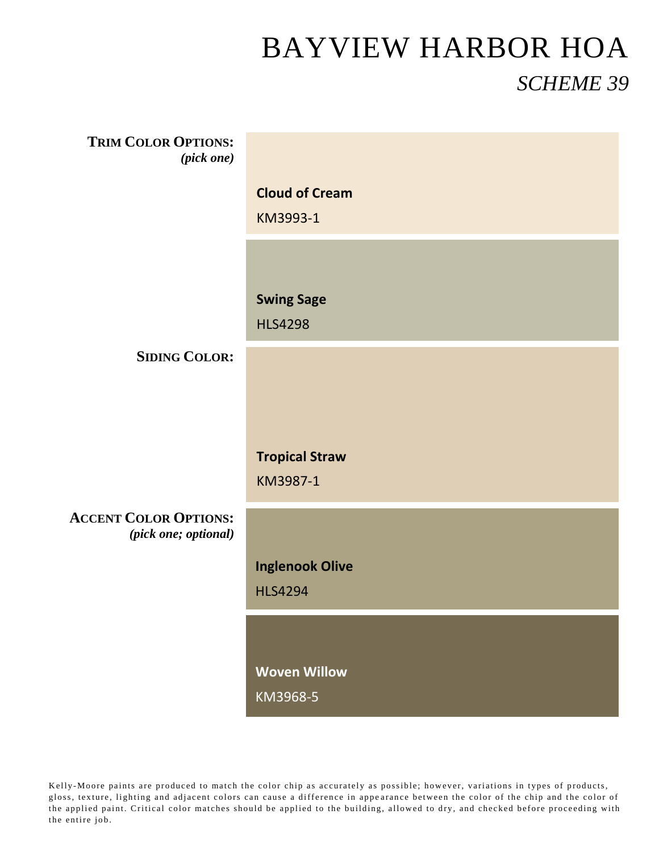| <b>TRIM COLOR OPTIONS:</b><br>(pick one)             |                        |
|------------------------------------------------------|------------------------|
|                                                      | <b>Cloud of Cream</b>  |
|                                                      | KM3993-1               |
|                                                      |                        |
|                                                      | <b>Swing Sage</b>      |
|                                                      | <b>HLS4298</b>         |
| <b>SIDING COLOR:</b>                                 |                        |
|                                                      |                        |
|                                                      |                        |
|                                                      | <b>Tropical Straw</b>  |
|                                                      | KM3987-1               |
| <b>ACCENT COLOR OPTIONS:</b><br>(pick one; optional) |                        |
|                                                      | <b>Inglenook Olive</b> |
|                                                      | <b>HLS4294</b>         |
|                                                      |                        |
|                                                      | <b>Woven Willow</b>    |
|                                                      | KM3968-5               |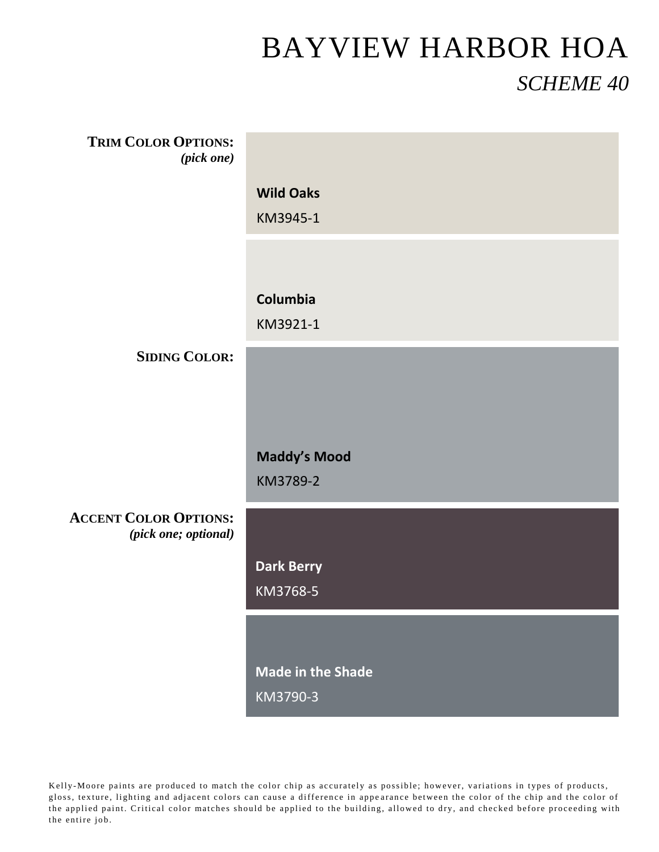| <b>TRIM COLOR OPTIONS:</b><br>(pick one)             |                     |
|------------------------------------------------------|---------------------|
|                                                      | <b>Wild Oaks</b>    |
|                                                      | KM3945-1            |
|                                                      |                     |
|                                                      | Columbia            |
|                                                      | KM3921-1            |
| <b>SIDING COLOR:</b>                                 |                     |
|                                                      |                     |
|                                                      |                     |
|                                                      | <b>Maddy's Mood</b> |
|                                                      | KM3789-2            |
| <b>ACCENT COLOR OPTIONS:</b><br>(pick one; optional) |                     |
|                                                      | <b>Dark Berry</b>   |
|                                                      | KM3768-5            |
|                                                      |                     |
|                                                      | Made in the Shade   |
|                                                      | KM3790-3            |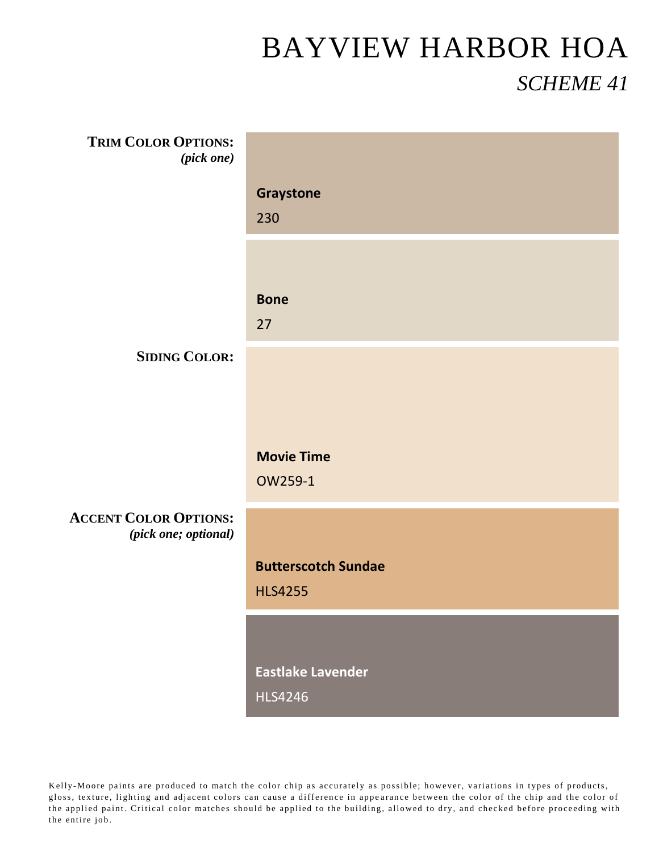| <b>TRIM COLOR OPTIONS:</b><br>(pick one)             |                            |
|------------------------------------------------------|----------------------------|
|                                                      |                            |
|                                                      | Graystone                  |
|                                                      | 230                        |
|                                                      |                            |
|                                                      | <b>Bone</b>                |
|                                                      | 27                         |
| <b>SIDING COLOR:</b>                                 |                            |
|                                                      |                            |
|                                                      |                            |
|                                                      | <b>Movie Time</b>          |
|                                                      | OW259-1                    |
| <b>ACCENT COLOR OPTIONS:</b><br>(pick one; optional) |                            |
|                                                      | <b>Butterscotch Sundae</b> |
|                                                      | <b>HLS4255</b>             |
|                                                      |                            |
|                                                      | <b>Eastlake Lavender</b>   |
|                                                      | <b>HLS4246</b>             |
|                                                      |                            |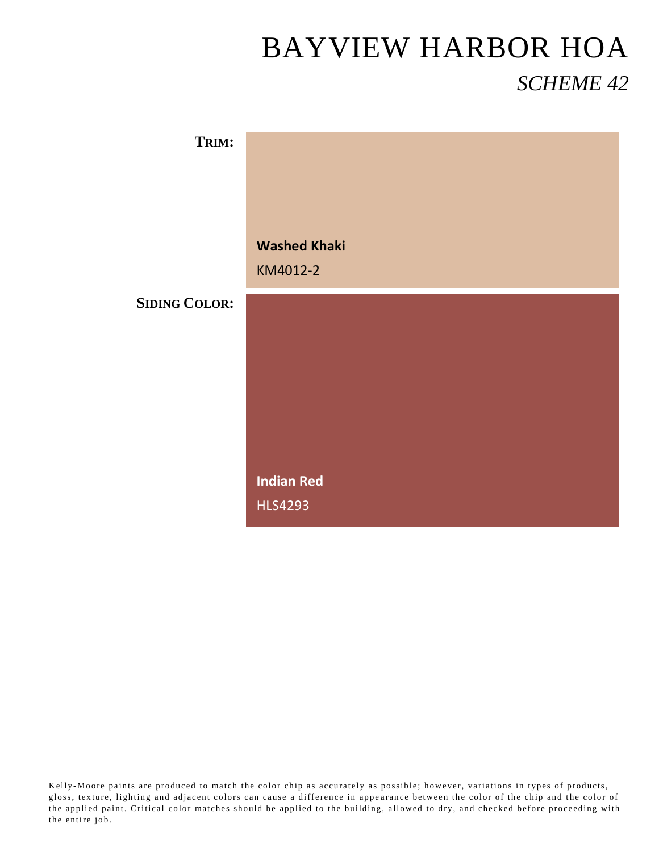| TRIM:                |                     |
|----------------------|---------------------|
|                      |                     |
|                      |                     |
|                      |                     |
|                      |                     |
|                      |                     |
|                      | <b>Washed Khaki</b> |
|                      | KM4012-2            |
|                      |                     |
| <b>SIDING COLOR:</b> |                     |
|                      |                     |
|                      |                     |
|                      |                     |
|                      |                     |
|                      |                     |
|                      |                     |
|                      |                     |
|                      |                     |
|                      |                     |
|                      |                     |
|                      | <b>Indian Red</b>   |
|                      | <b>HLS4293</b>      |
|                      |                     |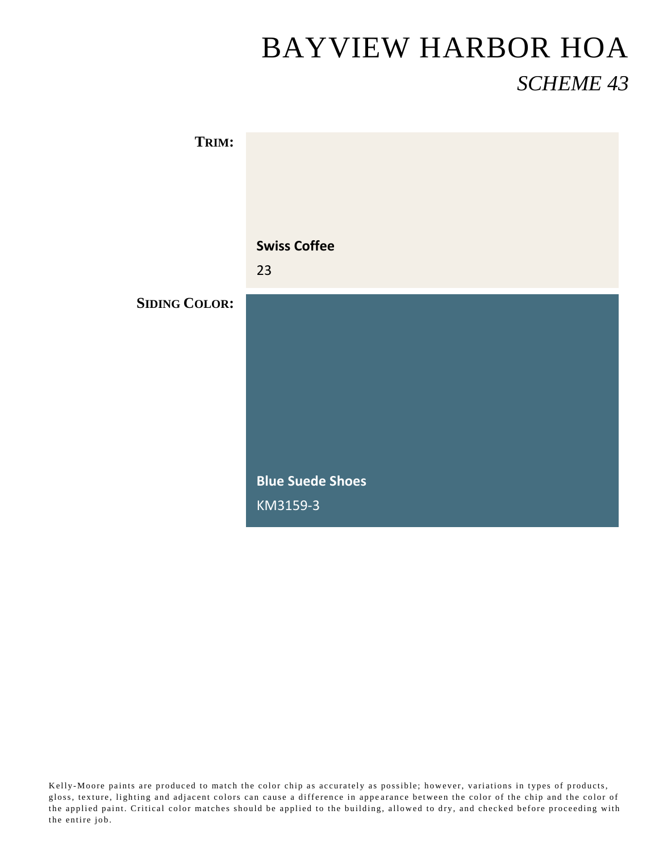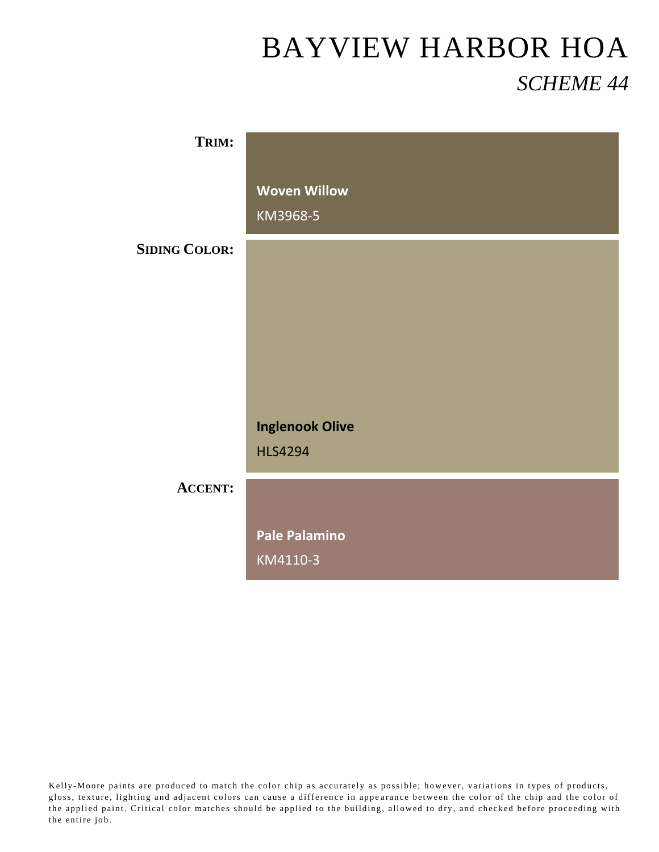| TRIM:                |                                 |
|----------------------|---------------------------------|
|                      | <b>Woven Willow</b><br>KM3968-5 |
| <b>SIDING COLOR:</b> |                                 |
|                      |                                 |
|                      |                                 |
|                      |                                 |
|                      | <b>Inglenook Olive</b>          |
|                      | <b>HLS4294</b>                  |
| <b>ACCENT:</b>       |                                 |
|                      | <b>Pale Palamino</b>            |
|                      | KM4110-3                        |